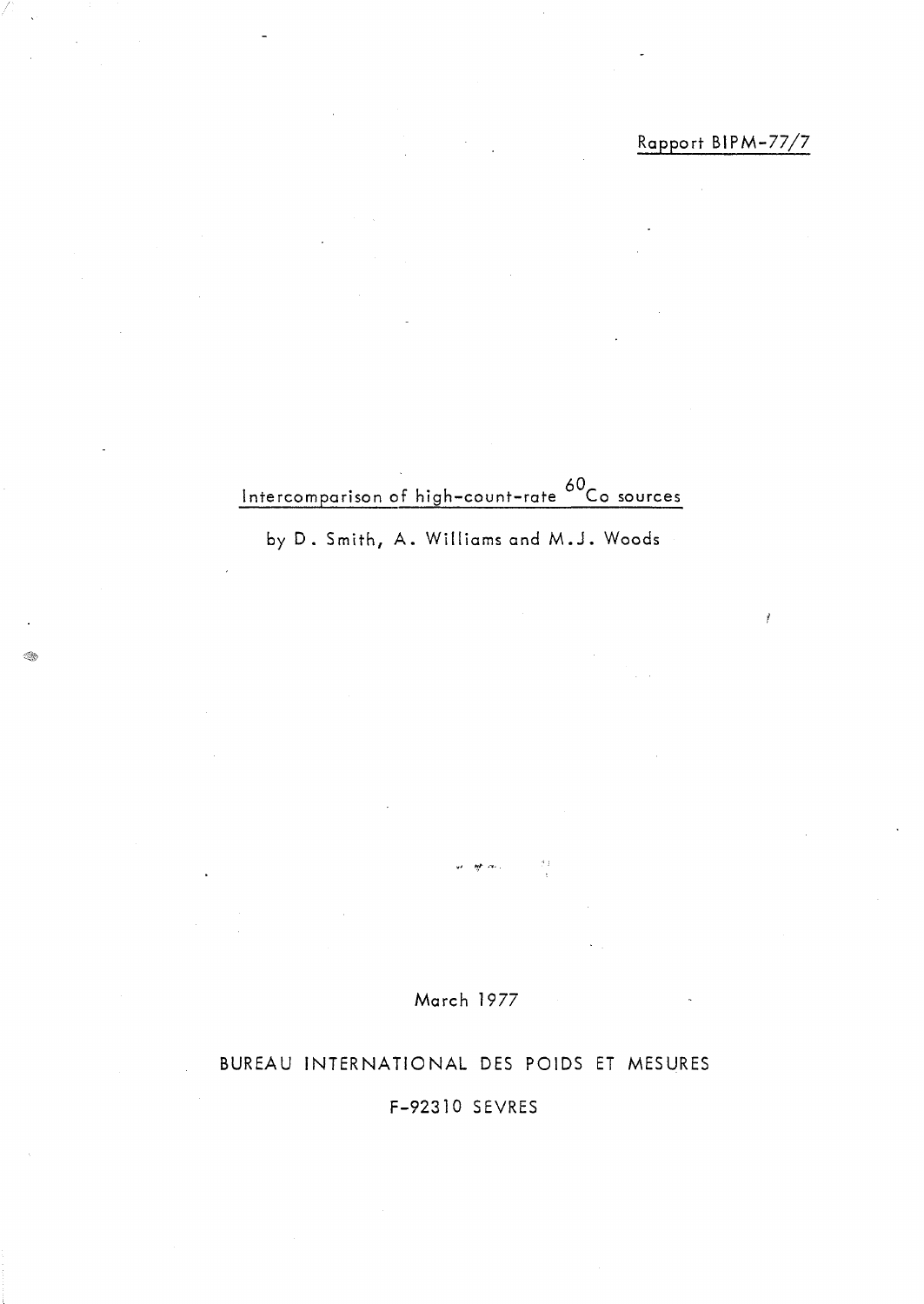Intercomparison of high-count-rate <sup>60</sup>Co sources

by D. Smith, A. Williams and M.J. Woods

March 1977

 $\mathcal{I}$  :

# BUREAU INTERNATIONAL DES POIDS ET MESURES

# F-92310 SEVRES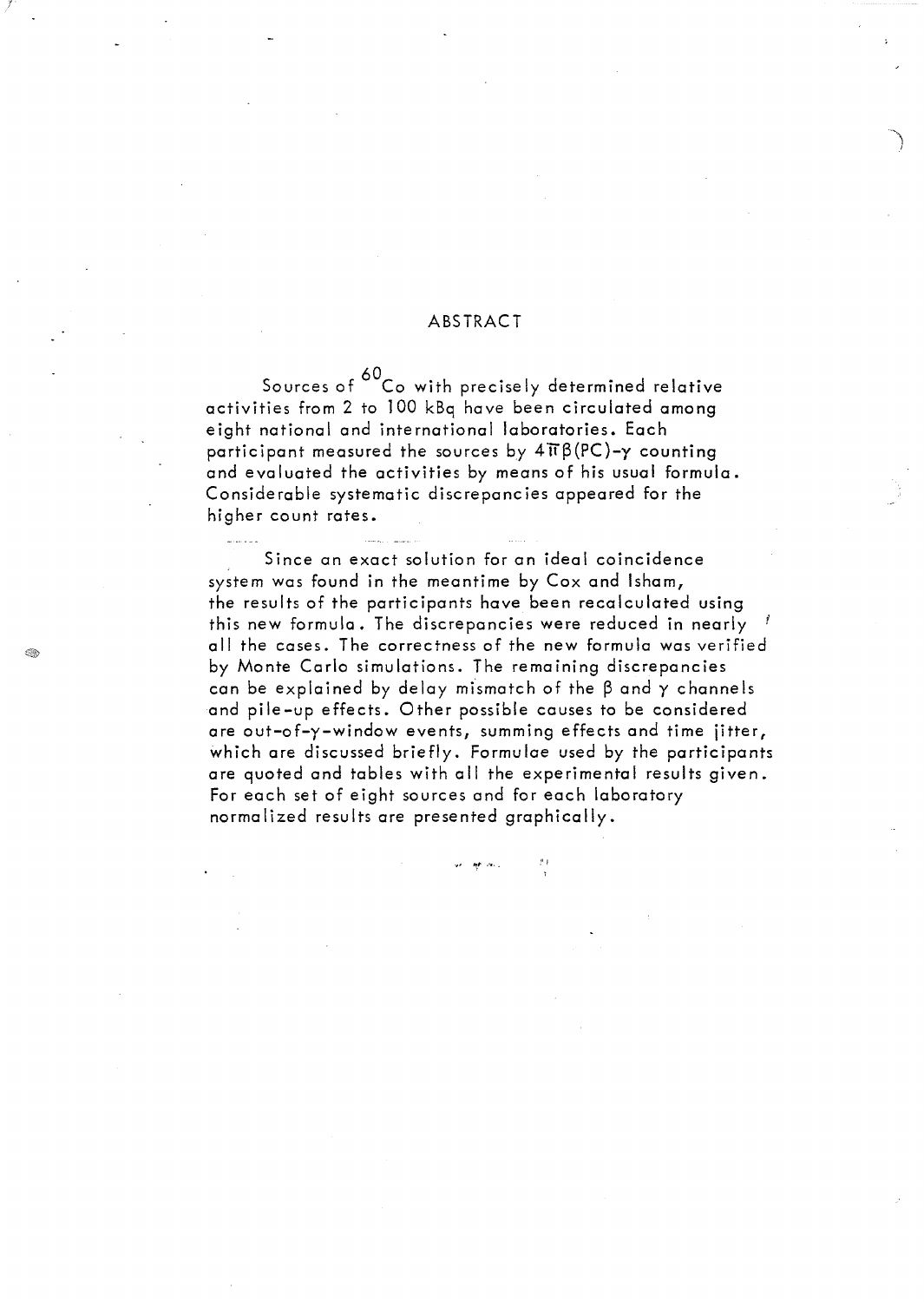#### ABSTRACT

Sources of <sup>60</sup> Co with precisely determined relative activities from 2 to 100 kBq have been circulated among eight national and international laboratories. Each participant measured the sources by  $4\pi\beta(PC)-y$  counting and evaluated the activities by means of his usual formula. Considerable systematic discrepancies appeared for the higher count rates.

Since an exact solution for an ideal coincidence system was found in the meantime by Cox and Isham, the results of the participants have been recalculated using this new formula. The discrepancies were reduced in nearly J ail the cases. The correctness of the new formula was verified by Monte Carlo simulations. The remaining discrepancies can be explained by delay mismatch of the  $\beta$  and  $\gamma$  channels and pile-up effects. Other possible causes to be considered are out-of-y-window events, summing effects and time jitter, which are discussed briefly. Formulae used by the participants are quoted and tables with ail the experimental results given. For each set of eight sources and for each laboratory normalized results are presented graphically.

~I *fJ!,I'* , ......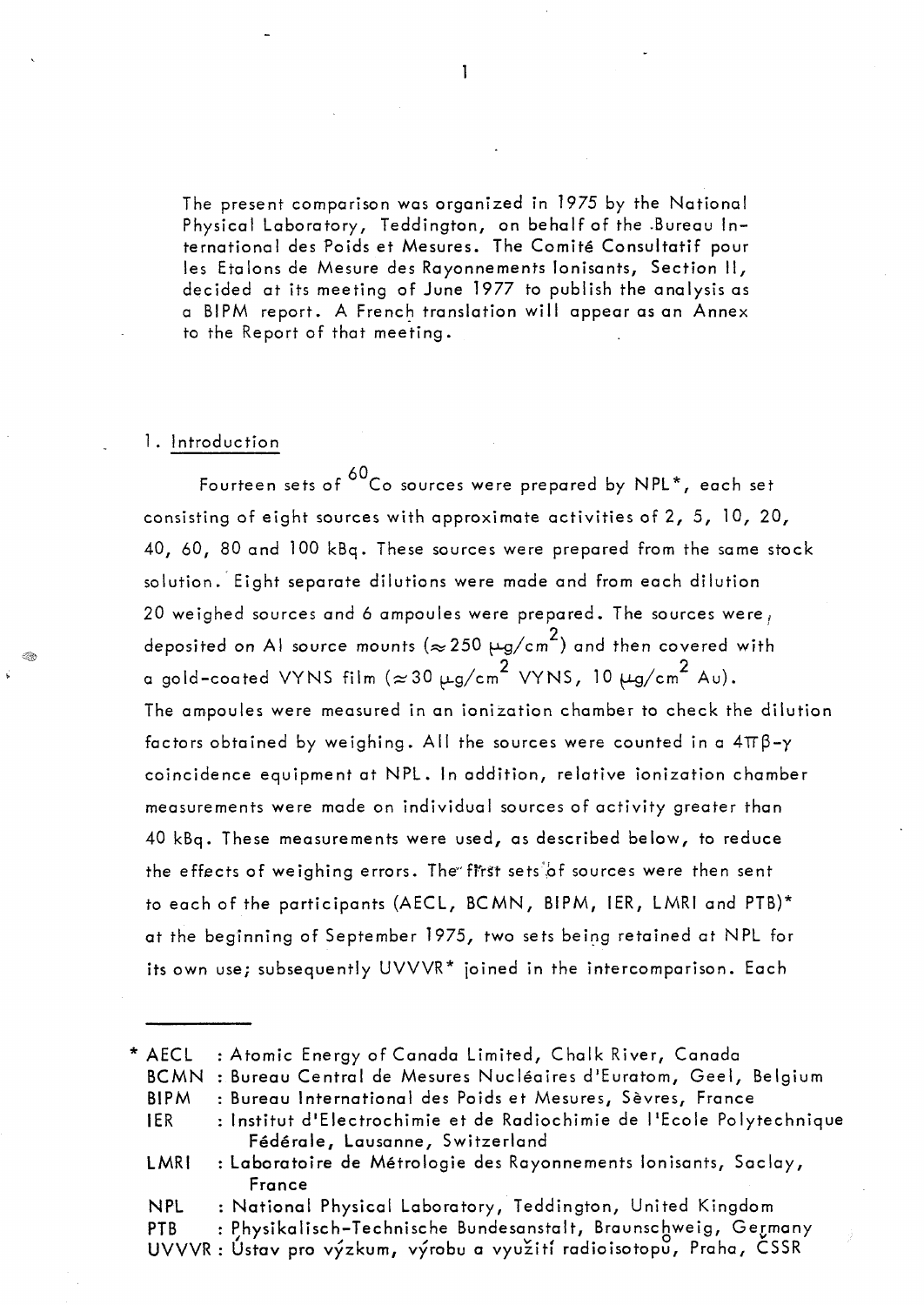The present comparison was organized in 1975 by the National Physical Laboratory, Teddington, on behalf af the .Bureau International des Poids et Mesures. The Comité Consultatif pour les Etalons de Mesure des Rayonnements Ionisants, Section II, decided at its meeting of June 1977 to publish the analysis as a BIPM report. A French translation will appear as an Annex to the Report of that meeting.

#### 1. Introduction

Fourteen sets of  $60<sub>Co</sub>$  sources were prepared by NPL\*, each set consisting of eight sources with approximate activities of 2, 5, 10, 20, 40,60,80 and 100 kBq. These sources were prepared from the same stock solution. Eight separate dilutions were made and from each dilution 20 weighed sources and 6 ampoules were prepared. The sources were, deposited on Al source mounts ( $\approx$  250  $\mu$ g/cm $^2$ ) and then covered with a gold–coated VYNS film ( $\approx$ 30  $\mu$ g/cm $^2$  VYNS, 10  $\mu$ g/cm $^2$  Au). The ampoules were measured in an ionization chamber to check the dilution factors obtained by weighing. All the sources were counted in a  $4\pi\beta-\gamma$ coincidence equipment at NPL. In addition, relative ionization chamber measurements were made on individual sources of activity greater than 40 kBq. These measurements were used, as described be low, to reduce the effects of weighing errors. The first sets of sources were then sent to each of the participants (AECL, BCMN, BIPM, IER, LMRI and PTB)\* at the beginning of September 1975, two sets being retained at NPL for its own use; subsequently  $UVVVR*$  joined in the intercomparison. Each

<sup>\*</sup> AECL BCMN Bureau Central de Mesures Nucléaires d'Euratom, Geel, Belgium BIPM : Atomic Energy of Canada Limited, Chalk River, Canada Bureau International des Poids et Mesures, Sèvres, France

<sup>1</sup>ER : Institut d'Electrochimie et de Radiochimie de l'Ecole Polytechnique Fédérale, Lausanne, Switzerland

LMRI : Laboratoire de Métrologie des Rayonnements Ionisants, Saclay, France

NPL National Physical Laboratory, Teddington, United Kingdom

PTB : Physikalisch-Technische Bundesanstalt, Braunschweig, Germany

UVVVR : Ústav pro výzkum, výrobu a využití radioisotopu, Praha, ČSSR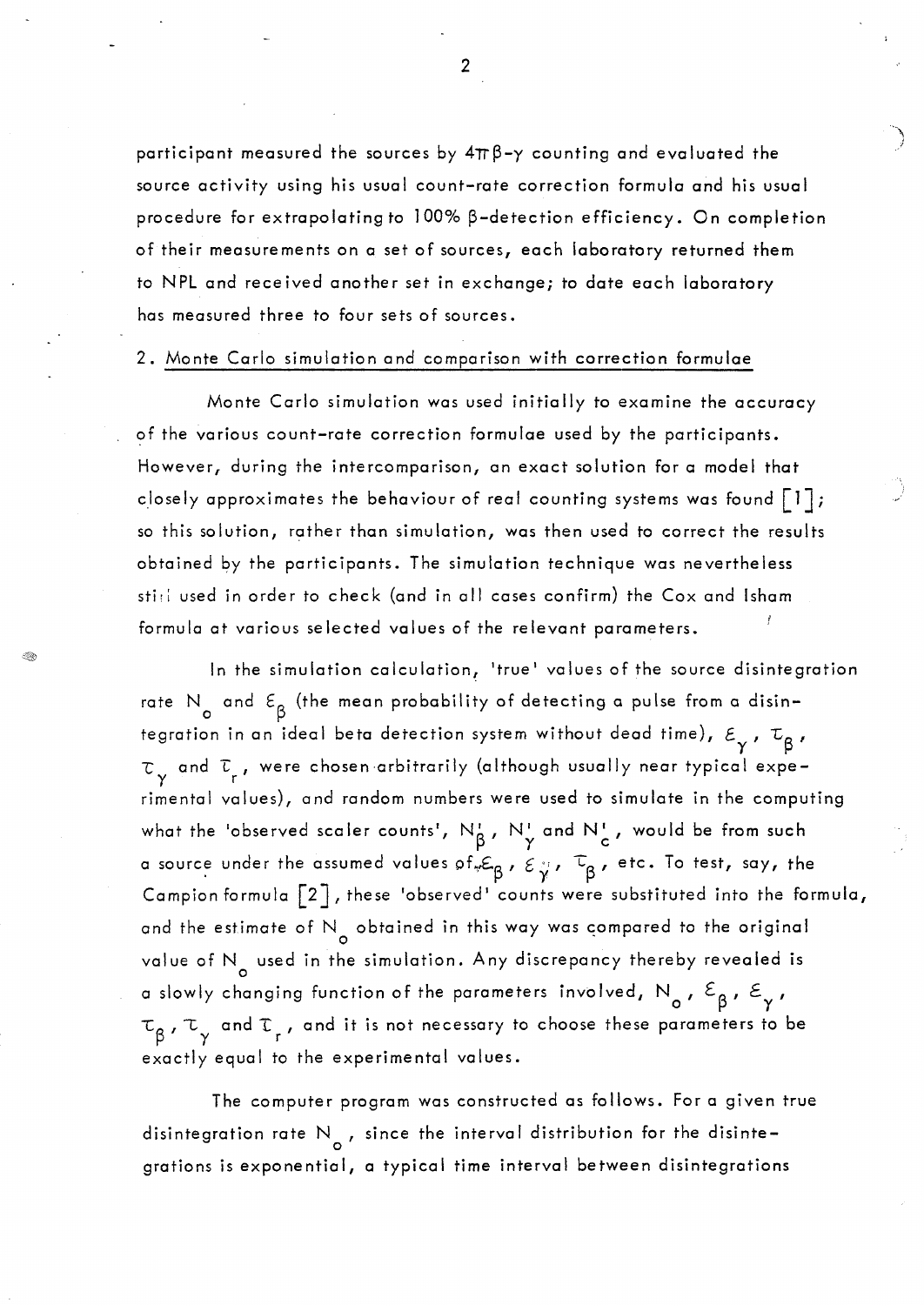participant measured the sources by  $4\pi\beta-\gamma$  counting and evaluated the source activity using his usual count-rate correction formula and his usual procedure for extrapolating to  $100\%$   $\beta$ -detection efficiency. On completion of their measurements on a set of sources, each laboratory returned them to NPL and received another set in exchange; to date each laboratory has measured three to four sets of sources.

#### 2. Monte Carlo simulation and comparison with correction formulae

Monte Carlo simulation was used initially to examine the accuracy of the various count-rate correction formulae used by the participants. However, during the intercomparison, an exact solution for a model that closely approximates the behaviour of real counting systems was found  $\lceil 1 \rceil$ ; so this solution, rather thon simulation, was then used to correct the results obtained by the participants. The simulation technique was nevertheless sti; used in order to check (and in all cases confirm) the Cox and Isham formula at various selected values of the relevant parameters.

In the simulation calculation, 'true' values of the source disintegration rate N<sub>o</sub> and  $\varepsilon_{\beta}$  (the mean probability of detecting a pulse from a disintegration in an ideal beta detection system without dead time),  $\varepsilon_{_{\rm \gamma}}$  ,  $\tau_{_{\rm \beta}}$  ,  $\tau_{\gamma}$  and  $\tau_{\rm r}$ , were chosen arbitrarily (although usually near typical experimental values), and random numbers were used to simulate in the computing what the 'observed scaler counts',  $N^{\tau}_{\beta}$ ,  $N^{\tau}_{\gamma}$  and  $N^{\tau}_{\rm c}$ , would be from such a source under the assumed values of  ${}_{\varphi}\varepsilon_{\beta}$ ,  $\varepsilon_{\gamma}$ ,  $\tau_{\beta}$ , etc. To test, say, the Campion formula  $\lceil 2 \rceil$ , these 'observed' counts were substituted into the formula, and the estimate of N<sub>o</sub> obtained in this way was compared to the original value of N<sub>o</sub> used in the simulation. Any discrepancy thereby revealed is a slowly changing function of the parameters involved,  $N_{\sf o}^{},\;{\cal E}_{\sf \beta}^{},\;{\cal E}_{\sf \gamma}^{},$  $\tau_{o}$  ,  $\tau_{\perp}$  and  $\tau_{\perp}$  , and it is not necessary to choose these parameters to be  $\beta'$  y and  $r$ exactly equal to the experimental values.

The computer program was constructed as follows. For a given true disintegration rate  $\mathsf{N}_{_{\mathsf{O}}}$  , since the interval distribution for the disintegrations is exponential, a typical time interval between disintegrations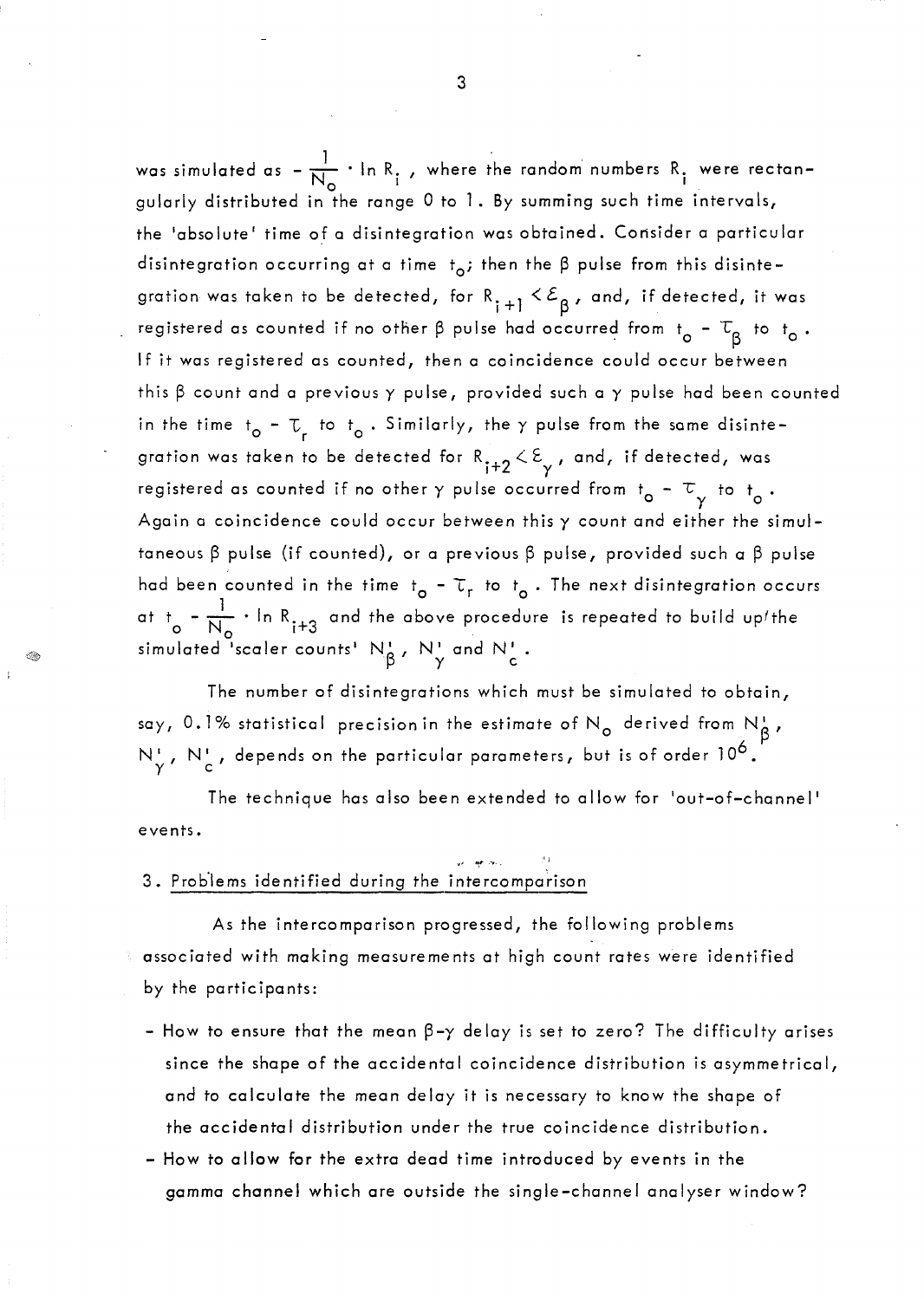was simulated as  $-\frac{1}{N_{\odot}} \cdot \ln R$ , , where the random numbers  $R$ , were rectangularly distributed in the range 0 to 1. By summing such time intervals, the 'absolute' time of a disintegration was obtained. Consider a particular disintegration occurring at a time  $t_o$ ; then the  $\beta$  pulse from this disintegration was taken to be detected, for  $R_{i+1} < E_{\beta}$ , and, if detected, it was registered as counted if no other  $\beta$  pulse had occurred from t<sub>o</sub> -  $\tau_{\beta}$  to t<sub>o</sub>. If it was registered as counted, then a coincidence could occur between this  $\beta$  count and a previous  $\gamma$  pulse, provided such a  $\gamma$  pulse had been counted in the time  $t_{\mathsf{o}}$  –  $\mathbb{T}_{\mathsf{r}}$  to  $t_{\mathsf{o}}$  . Similarly, the  $\gamma$  pulse from the same disintegration was taken to be detected for  $R_{i+2} < E_{\gamma}$ , and, if detected, was registered as counted if no other  $\gamma$  pulse occurred from  $t_0 - \tau_{\gamma}$  to  $t_0$ . Again a coincidence could occur between this  $\gamma$  count and either the simultaneous  $\beta$  pulse (if counted), or a previous  $\beta$  pulse, provided such a  $\beta$  pulse had been counted in the time t<sub>o</sub> –  $\tau_r$  to t<sub>o</sub>. The next disintegration occurs at  $t_{o} = \frac{1}{N_{o}} \cdot \ln R_{i+3}$ and the above procedure is repeated to build upfthe simulated <sup>i</sup>scaler counts<sup>1</sup>  $N_A^1$  ,  $N_J^1$  and  $N_J^1$  .  $\beta$ '' '' $\gamma$ '' c'''  $\alpha$ '' '' c

The number of disintegrations which must be simulated to obtain, say, 0.1% statistical precision in the estimate of N<sub>o</sub> derived from N<sub>B</sub>, N', N', depends on the particular parameters, but is of order 10<sup>6</sup>.

The technique has also been extended to allow for 'out-of-channel ' events.

# 3. Problems identified during the intercomparison

≪

As the intercomparison progressed, the following problems associated with making measurements at high count rates were identified by the participants:

- $-$  How to ensure that the mean  $\beta-\gamma$  delay is set to zero? The difficulty arises since the shape of the occidental coincidence distribution is *asymmetrical,*  and to calculate the mean delay it is necessary to know the shape of the occidental distribution under the true coincidence distribution.
- How to allow for the extra dead time introduced by events in the gamma channel which are outside the single-channel analyser window?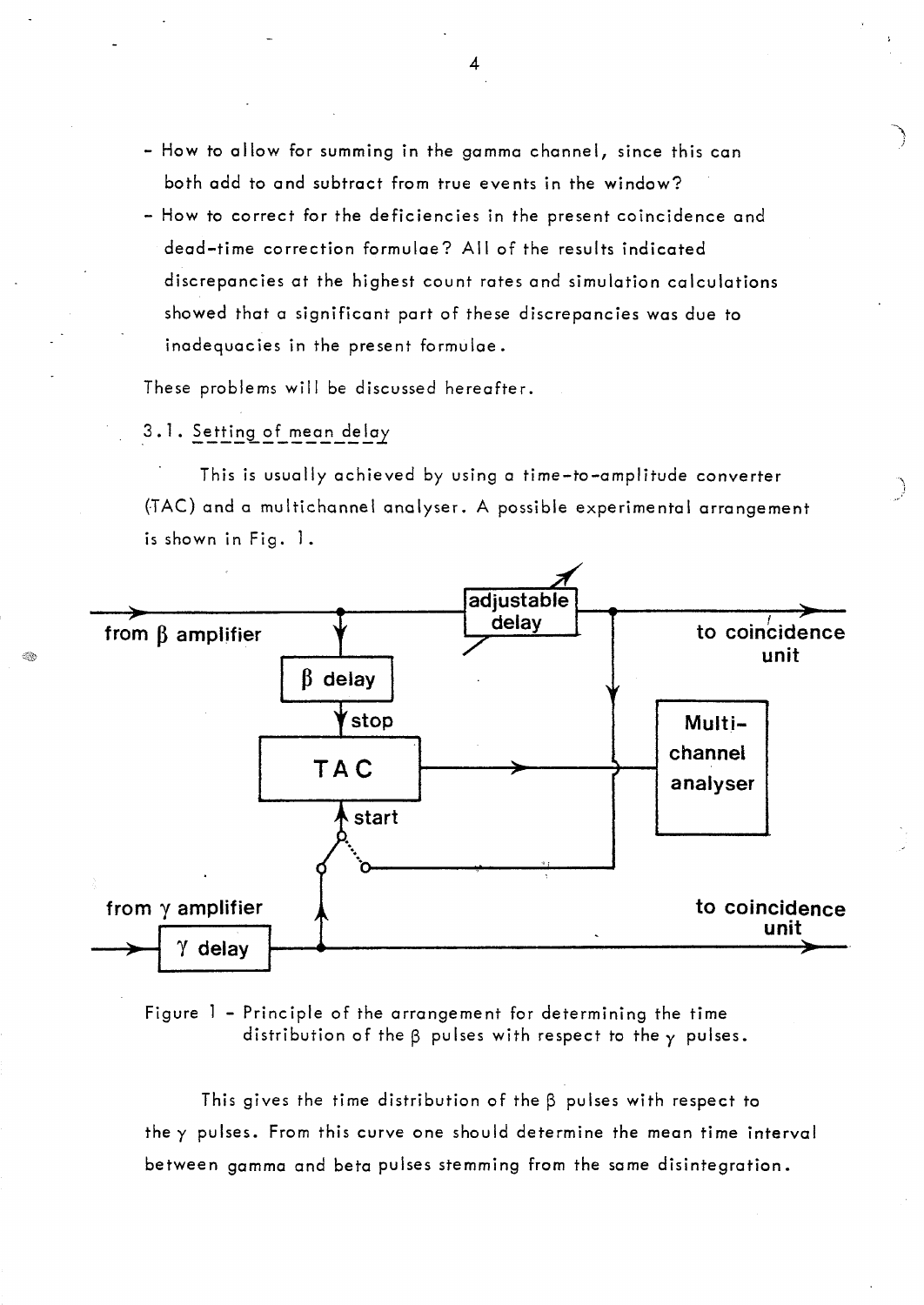- How to allow for summing in the gamma channel, since this can both add to and subtract from true events in the window?
- How to correct for the deficiencies in the present coïncidence and dead-time correction formulae? Ail of the results indicated discrepancies at the highest count rates and simulation calculations showed that a significant part of these discrepancies was due to inadequacies in the present formulae.

These problems will be discussed hereafter.

### 3.1. Setting of mean delay

This is usually achieved by using a time-to-amplitude converter (TAC) and a multichannel analyser. A possible experimental arrangement is shown in Fig. 1.



Figure 1 - Principle of the arrangement for determining the time distribution of the  $\beta$  pulses with respect to the  $\gamma$  pulses.

This gives the time distribution of the  $\beta$  pulses with respect to the y pulses. From this curve one should determine the mean time interval between gamma and beta pulses stemming from the same disintegration.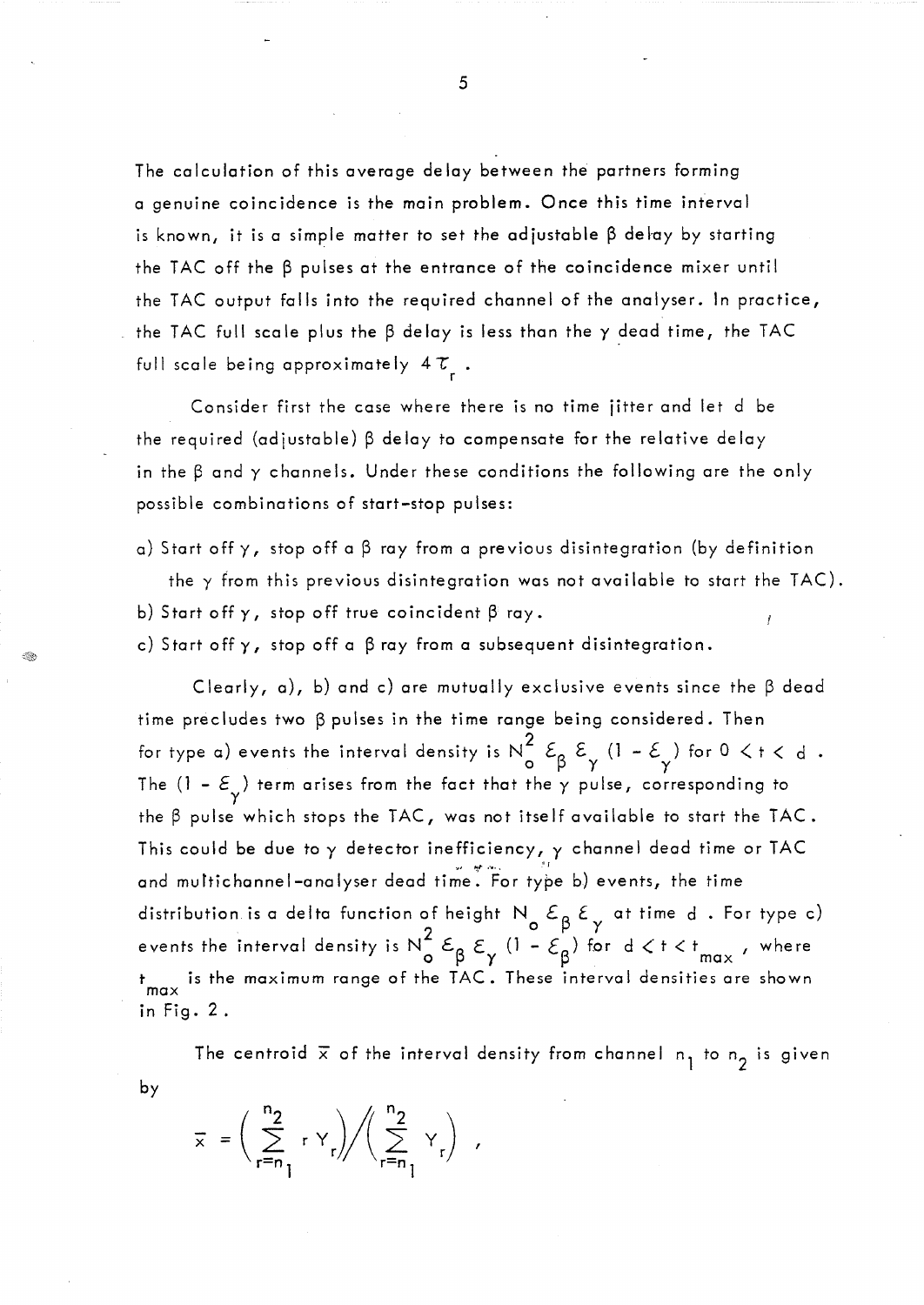The calculation of this average delay between the partners forming a genuine coincidence is the main problem. Once this time interval is known, it is a simple matter to set the adjustable  $\beta$  delay by starting the TAC off the  $\beta$  pulses at the entrance of the coincidence mixer until the TAC output falls into the required channel of the analyser. In practice, the TAC full scale plus the  $\beta$  delay is less than the  $\gamma$  dead time, the TAC full scale being approximately  $4\tau$ .

Consider first the case where there is no time jitter and let d be the required (adjustable)  $\beta$  delay to compensate for the relative delay in the  $\beta$  and  $\gamma$  channels. Under these conditions the following are the only possible combinations of start-stop pulses:

a) Start off  $\gamma$ , stop off a  $\beta$  ray from a previous disintegration (by definition the y from this previous disintegration was not available to start the TAC). b) Start off  $\gamma$ , stop off true coincident  $\beta$  ray.

c) Start off  $\gamma$ , stop off a  $\beta$  ray from a subsequent disintegration.

Clearly, a), b) and c) are mutually exclusive events since the  $\beta$  dead time precludes two  $\beta$  pulses in the time range being considered. Then for type a) events the interval density is  $N_0^2$   $\varepsilon_{\beta}$   $\varepsilon_{\gamma}$  (1 –  $\varepsilon_{\gamma}$ ) for 0  $\lt$  t  $\lt$  d  $\cdot$ The (1 –  $\varepsilon_{\gamma}^{\vphantom{1}}$  ) term arises from the fact that the  $\gamma$  pulse, corresponding to the  $\beta$  pulse which stops the TAC, was not itself available to start the TAC. This could be due to  $\gamma$  detector inefficiency,  $\gamma$  channel dead time or TAC and multichannel-analyser dead time. For type b) events, the time distribution is a delta function of height  $N_{\rm g} \, \mathcal{E}_{\rm g} \, \mathcal{E}_{\rm y}$  at time d. For type c) events the interval density is  $N_0^2 \varepsilon_\beta \varepsilon_\gamma$  (1 -  $\varepsilon_\beta$ ) for  $d < t < t_{max}$  , where t is the maximum ronge of the TAC. These interval densities are shown max in Fig. 2.

The centroid  $\overline{x}$  of the interval density from channel  $n_1$  to  $n_2$  is given by

$$
\overline{x} = \left(\sum_{r=n}^{n_2} r Y_r\right) / \left(\sum_{r=n_1}^{n_2} Y_r\right) ,
$$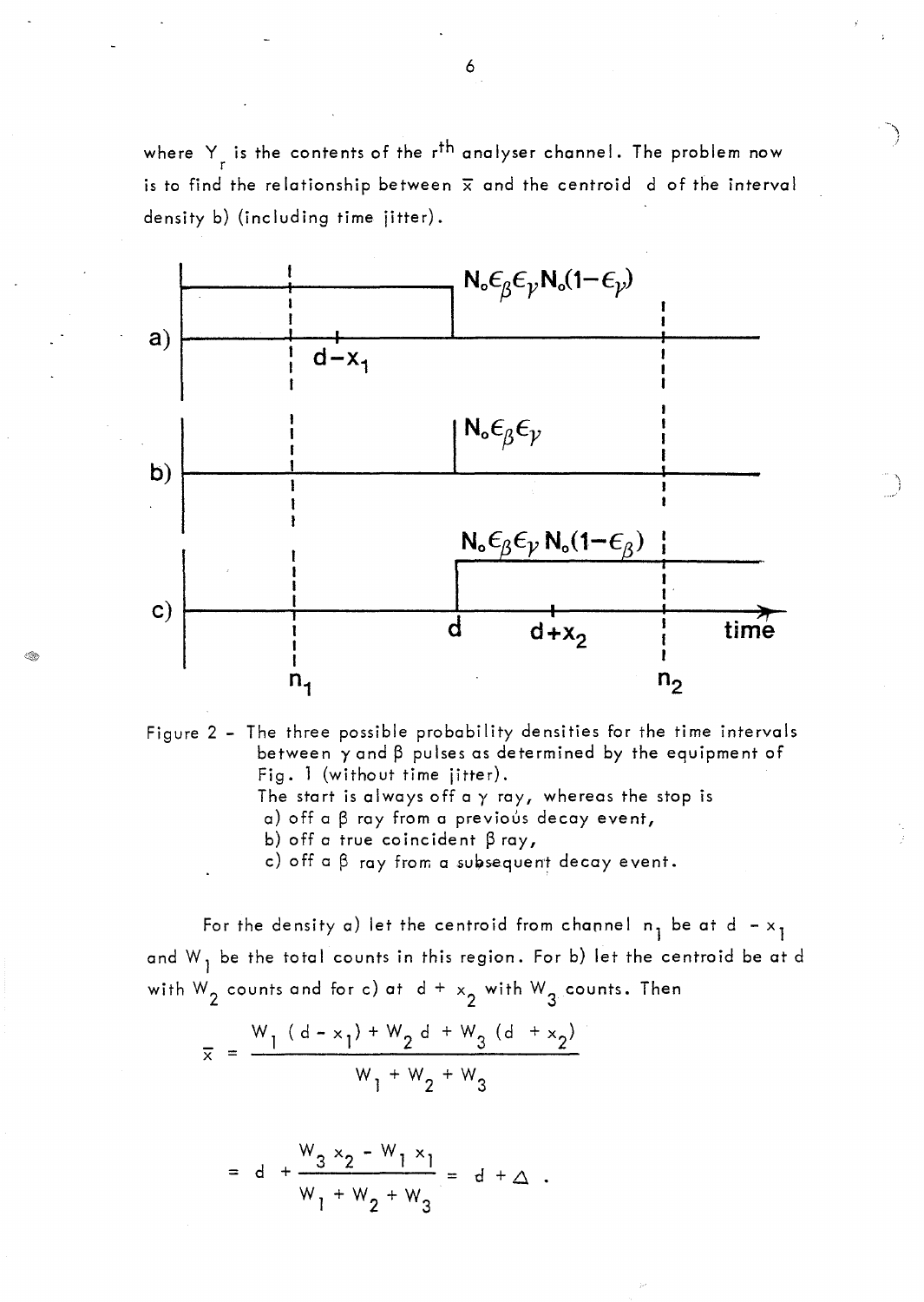where Y is the contents of the r<sup>th</sup> analyser channel. The problem now is to find the relationship between  $\bar{x}$  and the centroid d of the interval density b) (including time jitter).



 $\sim \infty$ i

Figure 2 - The three possible probability densities for the time intervals between  $\gamma$  and  $\beta$  pulses as determined by the equipment of Fig. 1 (without time jitter). The start is always off a  $\gamma$  ray, whereas the stop is  $a)$  off a  $\beta$  ray from a previous decay event, b) off a true coincident  $\beta$  ray,

c) off a  $\beta$  ray from a subsequent decay event.

For the density a) let the centroid from channel  $n_1$  be at d -  $x_1$ and  $W_1$  be the total counts in this region. For b) let the centroid be at d with  $W_2$  counts and for c) at  $d + x_2$  with  $W_3$  counts. Then

$$
\overline{x} = \frac{W_1 (d - x_1) + W_2 d + W_3 (d + x_2)}{W_1 + W_2 + W_3}
$$

R

$$
= d + \frac{W_3 \times_2 - W_1 \times_1}{W_1 + W_2 + W_3} = d + \Delta.
$$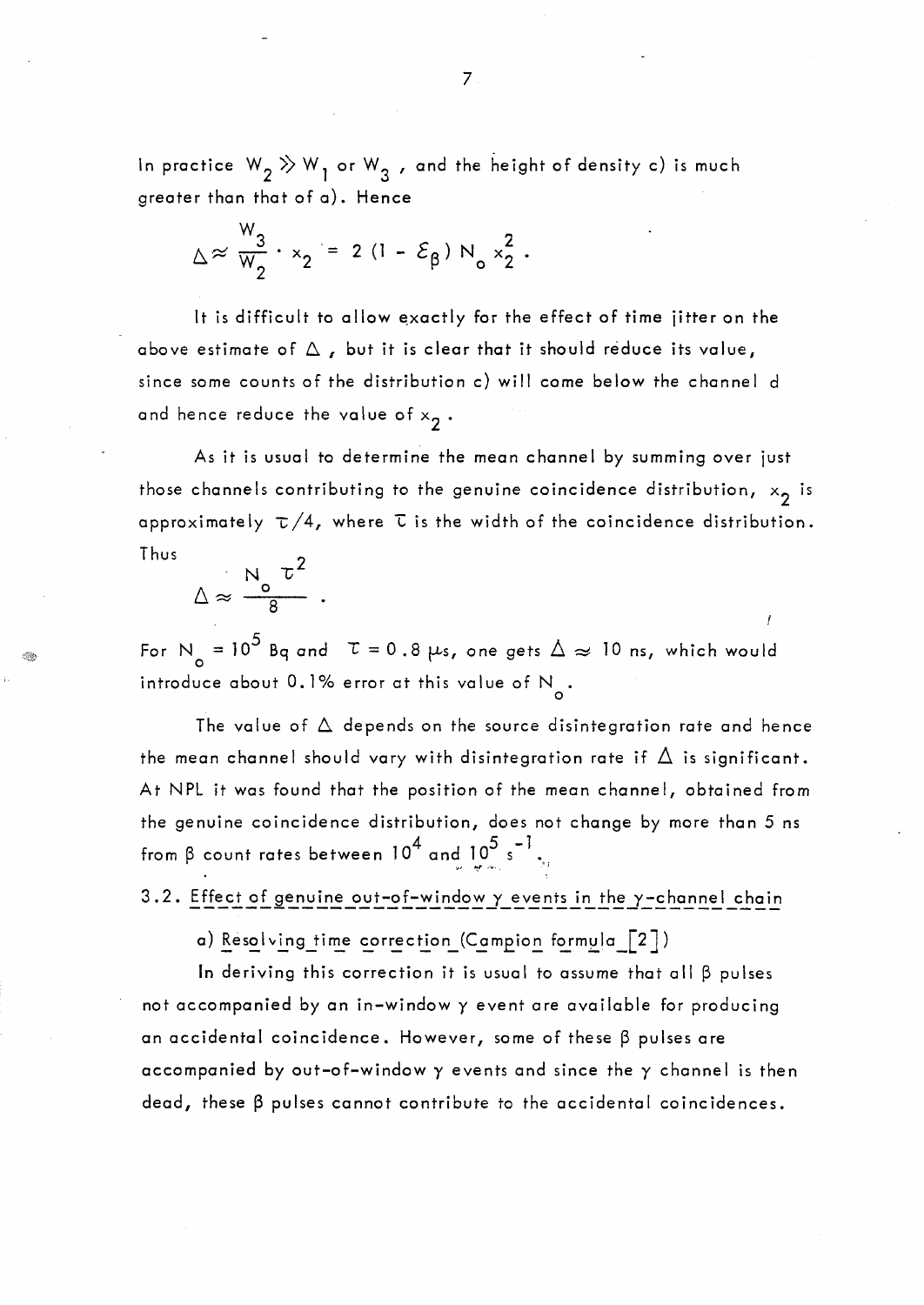In practice  $W_2 \gg W_1$  or  $W_3$  , and the height of density c) is much greater thon that of a}. Hence

$$
\Delta \approx \frac{W_3}{W_2} \cdot x_2 = 2 (1 - \mathcal{E}_{\beta}) N_0 x_2^2.
$$

It is difficult to allow exactly for the effect of time jitter on the above estimate of  $\Delta$ , but it is clear that it should reduce its value, since some counts of the distribution c} will come below the channel d and hence reduce the value of  $\mathsf{x}_2$  .

As it is usual to determine the mean channel by summing over just those channels contributing to the genuine coincidence distribution,  $\left.\times_2\right.$  is approximately  $\tau/4$ , where  $\tau$  is the width of the coincidence distribution. Thus

$$
\Delta \approx \frac{N_o \tau^2}{8}
$$

For N<sub>o</sub> = 10<sup>5</sup> Bq and  $\tau$  = 0.8  $\mu$ s, one gets  $\Delta \approx 10$  ns, which would introduce about 0.1% error at this value of  $\aleph_{\sf o}.$ 

The value of  $\Delta$  depends on the source disintegration rate and hence the mean channel should vary with disintegration rate if  $\Delta$  is significant. At NPL it was found that the position of the mean channel, obtained from the genuine coincidence distribution, does not change by more than 5 ns from  $\beta$  count rates between 10<sup>4</sup> and  $10^5$  s  $^{-1}$  ...;

3.2. Effect of genuine out-of-window  $\gamma$  events in the  $\gamma$ -channel chain

a) Resolving time correction (Campion formula  $\lceil 2 \rceil$ )

In deriving this correction it is usual to assume that all  $\beta$  pulses not accompanied by an in-window y event are available for producing an accidental coincidence. However, some of these  $\beta$  pulses are accompanied by out-of-window  $\gamma$  events and since the  $\gamma$  channel is then  $dead$ , these  $\beta$  pulses cannot contribute to the accidental coincidences.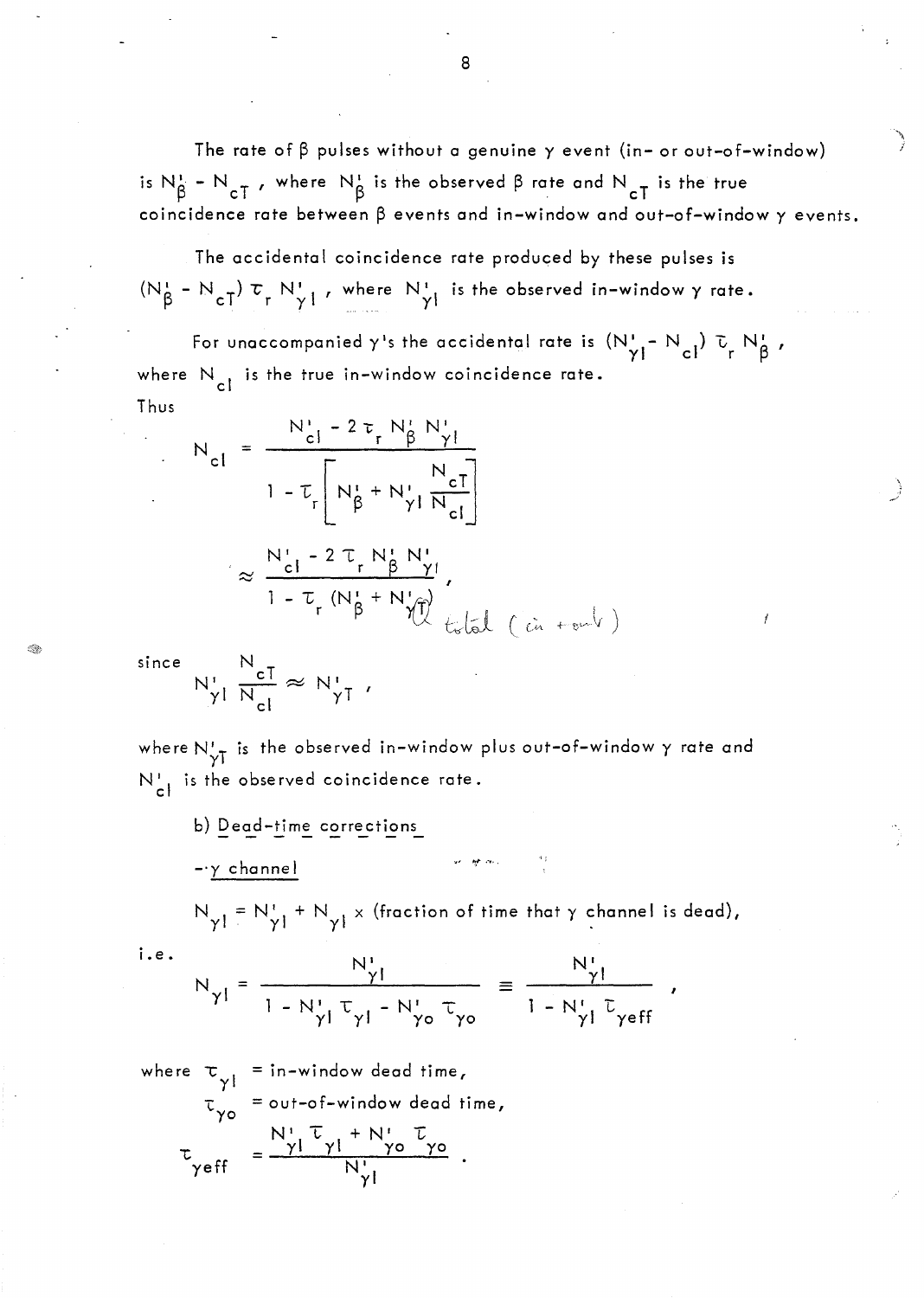The rate of  $\beta$  pulses without a genuine  $\gamma$  event (in- or out-of-window) is  $N_{\beta}^1$  -  $N_{\rm cT}$ , where  $N_{\beta}^1$  is the observed  $\beta$  rate and  $N_{\rm cT}^1$  is the true coincidence rate between  $\beta$  events and in-window and out-of-window  $\gamma$  events.

The accidental coincidence rate produced by these pulses is  $(N_\beta^* - N_{cT}) \tau_r N_\gamma^*$ , where  $N_\gamma^*$  is the observed in-window  $\gamma$  rate.

For unaccompanied  $\gamma$ 's the accidental rate is  $(N'_{\gamma_1} - N_{c1}) \bar{v}_r N'_{\beta}$ , where  $N_{c1}$  is the true in-window coincidence rate. Thus

$$
N_{cl} = \frac{N_{cl}^{1} - 2 \tau_{r} N_{\beta}^{1} N_{\gamma l}}{1 - \tau_{r} \left[ N_{\beta}^{1} + N_{\gamma l}^{1} \frac{N_{cl}^{1}}{N_{cl}} \right]}
$$

$$
\approx \frac{N_{cl}^{1} - 2 \tau_{r} N_{\beta}^{1} N_{\gamma l}^{1}}{1 - \tau_{r} (N_{\beta}^{1} + N_{\gamma l}^{1})},
$$

since

 $i.e.$ 

$$
N_{\gamma l} \frac{N_{cI}}{N_{cl}} \approx N_{\gamma I}.
$$

where  $N'_{\gamma T}$  is the observed in-window plus out-of-window  $\gamma$  rate and  $N_{c}^{1}$  is the observed coincidence rate.

b) Dead-time corrections  $-\gamma$  channel

 $N_{\gamma} = N_{\gamma}^+ + N_{\gamma}^- \times$  (fraction of time that  $\gamma$  channel is dead),

$$
N_{\gamma l} = \frac{N_{\gamma l}^{l}}{1 - N_{\gamma l}^{l} \tau_{\gamma l} - N_{\gamma o}^{l} \tau_{\gamma o}} = \frac{N_{\gamma l}^{l}}{1 - N_{\gamma l}^{l} \tau_{\gamma e f f}}
$$

where  $\tau_{\gamma l}$  = in-window dead time,<br>  $\tau_{\gamma o}$  = out-of-window dead time,<br>  $\tau_{\gamma o}$  =  $\frac{N_{l}^{l} \tau_{\gamma l} + N_{l}^{l} \tau_{\gamma o}}{N_{\gamma l}^{l}}$ .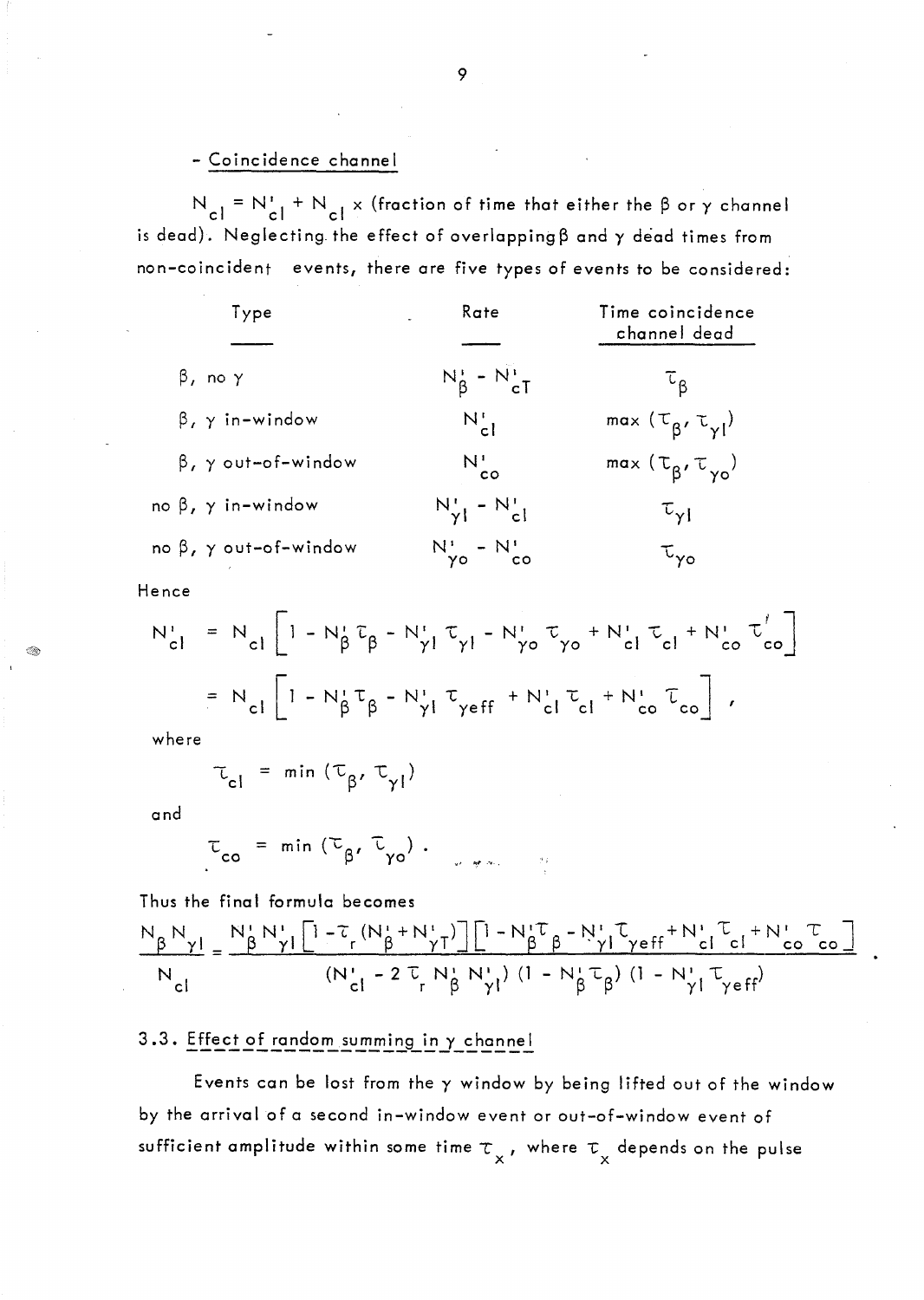#### - Coincidence channel

 $N_{cl} = N_{cl}^1 + N_{cl} \times$  (fraction of time that either the  $\beta$  or  $\gamma$  channel is dead). Neglecting the effect of overlapping  $\beta$  and  $\gamma$  dead times from non-coincident events, there are five types of events to be considered:

| Type                                | Rate                                   | Time coincidence<br>channel dead     |
|-------------------------------------|----------------------------------------|--------------------------------------|
| $\beta$ , no $\gamma$               | $N_{\beta}^{\prime} - N_{cT}^{\prime}$ | $\tau_{\rm B}$                       |
| $\beta$ , $\gamma$ in-window        | $N_{cl}$                               | max $(\tau_{\beta}, \tau_{\gamma})$  |
| $\beta$ , $\gamma$ out-of-window    | $N_{\rm co}^{\rm b}$                   | $max(\tau_{\beta}, \tau_{\gamma o})$ |
| no $\beta$ , $\gamma$ in-window     | $N'_{\gamma}$ - $N'_{cl}$              | $\tau_{\rm yI}$                      |
| no $\beta$ , $\gamma$ out-of-window | $N'_{\gamma o} - N'_{co}$              | $\tau_{\gamma o}$                    |

Hence

$$
N_{cl}^{i} = N_{cl} \left[ 1 - N_{\beta}^{i} \tau_{\beta} - N_{\gamma l}^{i} \tau_{\gamma l} - N_{\gamma o}^{i} \tau_{\gamma o} + N_{cl}^{i} \tau_{cl} + N_{co}^{i} \tau_{co}^{i} \right]
$$
  
=  $N_{cl} \left[ 1 - N_{\beta}^{i} \tau_{\beta} - N_{\gamma l}^{i} \tau_{\gamma e f f} + N_{cl}^{i} \tau_{cl} + N_{co}^{i} \tau_{co} \right]$ ,

where

$$
\tau_{cl} = \min (\tau_{\beta}, \tau_{\gamma l})
$$

and

$$
\tau_{\text{co}} = \min (\tau_{\beta}, \tau_{\gamma \circ}).
$$

Thus the final formula becomes

$$
\frac{N_{\beta}N_{\gamma l}}{N_{cl}} = \frac{N_{\beta}^{T}N_{\gamma l}^{T}\left[1-\tau_{r}\left(N_{\beta}^{T}+N_{\gamma T}^{T}\right)\right]\left[1-N_{\beta}^{T}\tau_{\beta}-N_{\gamma l}^{T}\tau_{\gamma e f f}+N_{cl}^{T}\tau_{e}+N_{c0}^{T}\tau_{\omega e}\right]}{\left(N_{cl}^{T}-2\tau_{r}N_{\beta}^{T}N_{\gamma l}^{T}\right)\left(1-N_{\beta}^{T}\tau_{\beta}\right)\left(1-N_{\gamma l}^{T}\tau_{\gamma e f f}\right)}
$$

# 3.3. Effect of random summing in y channel

Events can be lost from the  $\gamma$  window by being lifted out of the window by the arrival of a second in-window event or out-of-window event of sufficient amplitude within some time  $\tau_{\chi}$ , where  $\tau_{\chi}$  depends on the pulse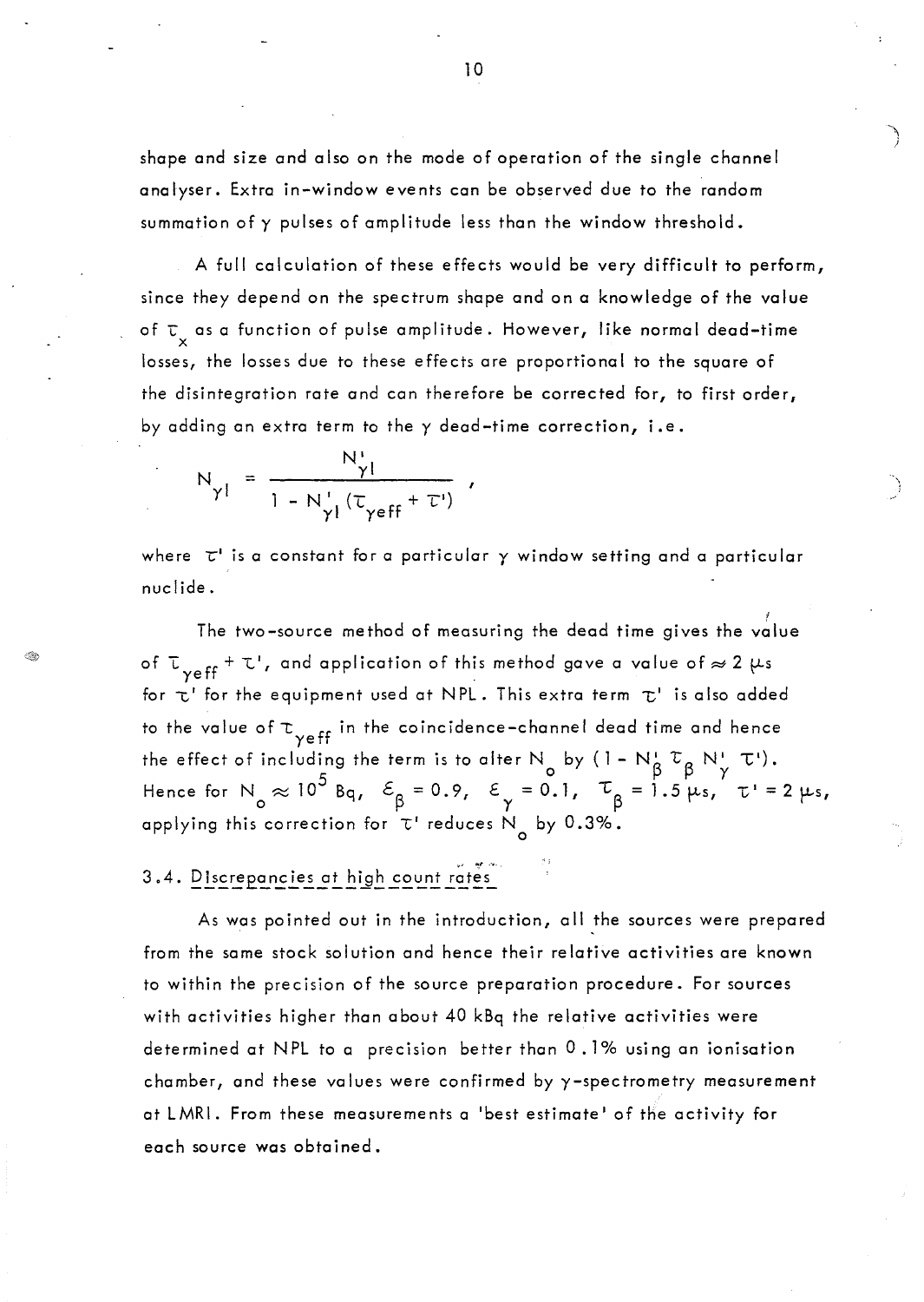shape and size and also on the mode of operation of the single channel analyser. Extra in-window events can be observed due to the random summation of y pulses of amplitude less than the window threshold.

A full calculation of these effects would be very difficult to perform, since they depend on the spectrum shape and on a knowledge of the value of  $\tau_{_{\mathsf{X}}}$  as a function of pulse amplitude. However, like normal dead–time losses, the losses due to these effects are proportional to the square of the disintegration rate and can therefore be corrected for, to first order, by adding an extra term to the y dead-time correction, i.e.

$$
N_{\gamma l} = \frac{N_{\gamma l}^{i}}{1 - N_{\gamma l}^{i} (\tau_{\gamma eff} + \tau^{i})} ,
$$

where  $\tau'$  is a constant for a particular  $\gamma$  window setting and a particular nuclide.

The two–source method of measuring the dead time gives the value  $\rq$ of  $\tau_{\gamma eff}$  +  $\tau'$ , and application of this method gave a value of  $\approx$  2  $\mu s$ for  $\tau'$  for the equipment used at NPL. This extra term  $\tau'$  is also added to the value of  $\tau_{\gamma \text{eff}}$  in the coincidence-channel dead time and hence the effect of including the term is to alter N by  $(1 - N^{\mu}_{\beta} \tau_{\beta} N^{\mu}_{\gamma} T^{\nu}).$ Hence for  $N_{o}\approx 10^{3}$  Bq,  $\mathcal{E}_{\beta}=0.9$ ,  $\mathcal{E}_{\gamma}=0.1$ ,  $\mathcal{L}_{\beta}=1.5 \mu s$ ,  $\tau'=2 \mu s$ , applying this correction for  $\tau'$  reduces  $\aleph_{\text{o}}$  by 0.3%.

# 3.4. Discrepancies at high count rates

As was pointed out in the introduction, ail the sources were prepared from the same stock solution and hence their relative activities are known to within the precision of the source preparation procedure. For sources with activities higher than about 40 kBq the relative activities were determined at NPL to a precision better than 0.1% using an ionisation chamber, and these values were confirmed by y-spectrometry measurement at LMRI. From these measurements a 'best estimate' of the activity for each source was obtained.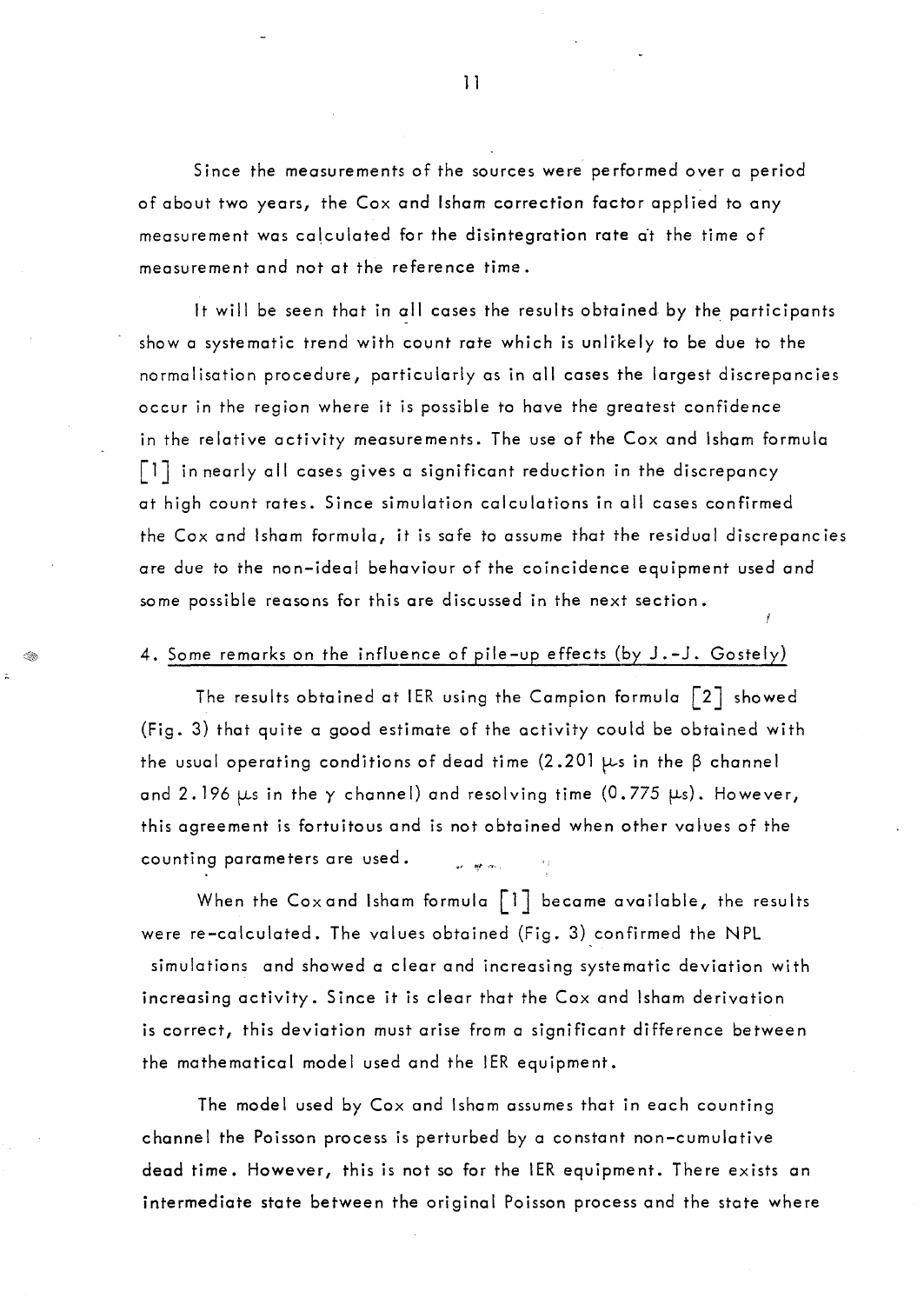Since the measurements of the sources were performed over a period of about two years, the Cox and Isham correction factor applied to any measurement was calculated for the disintegration rate at the time of measurement and not at the reference time.

It will be seen that in all cases the results obtained by the participants show a systematic trend with count rate which is unlikely to be due to the normalisation procedure, particularly as in 011 cases the largest discrepancies occur in the region where it is possible to have the greatest confidence in the relative activity measurements. The use of the Cox and Isham formula  $\lceil 1 \rceil$  in nearly all cases gives a significant reduction in the discrepancy at high count rates. Since simulation calculations in 011 cases confirmed the Cox and Isham formula, it is safe to assume that the residual discrepancies ore due to the non-ideal behaviour of the coincidence equipment used and some possible reasons for this ore discussed in the next section.

#### 4. Some remarks on the influence of pile-up effects (by J.-J. Gostely)

The results obtained at IER using the Campion formula  $\lceil 2 \rceil$  showed (Fig. 3) that quite a good estimate of the activity could be obtained with the usual operating conditions of dead time  $(2.201 \mu s)$  in the  $\beta$  channel and 2.196  $\mu$ s in the y channel) and resolving time (0.775  $\mu$ s). However, this agreement is fortuitous and is not obtained when other values of the counting parameters are used. an an Sil

When the Cox and Isham formula  $\lceil 1 \rceil$  became available, the results were re-calculated. The values obtained (Fig. 3) confirmed the NPL simulations and showed a clear and increasing systematic deviation with increasing activity. Since it is clear that the Cox and Isham derivation is correct, this deviation must arise from a significant difference between the mathematical model used and the 1ER equipment.

The model used by Cox and Isham assumes that in each counting channel the Poisson process is perturbed by a constant non-cumulative dead time. However, this is not so for the 1ER equipment. There exists an intermediate state between the original Poisson process and the state where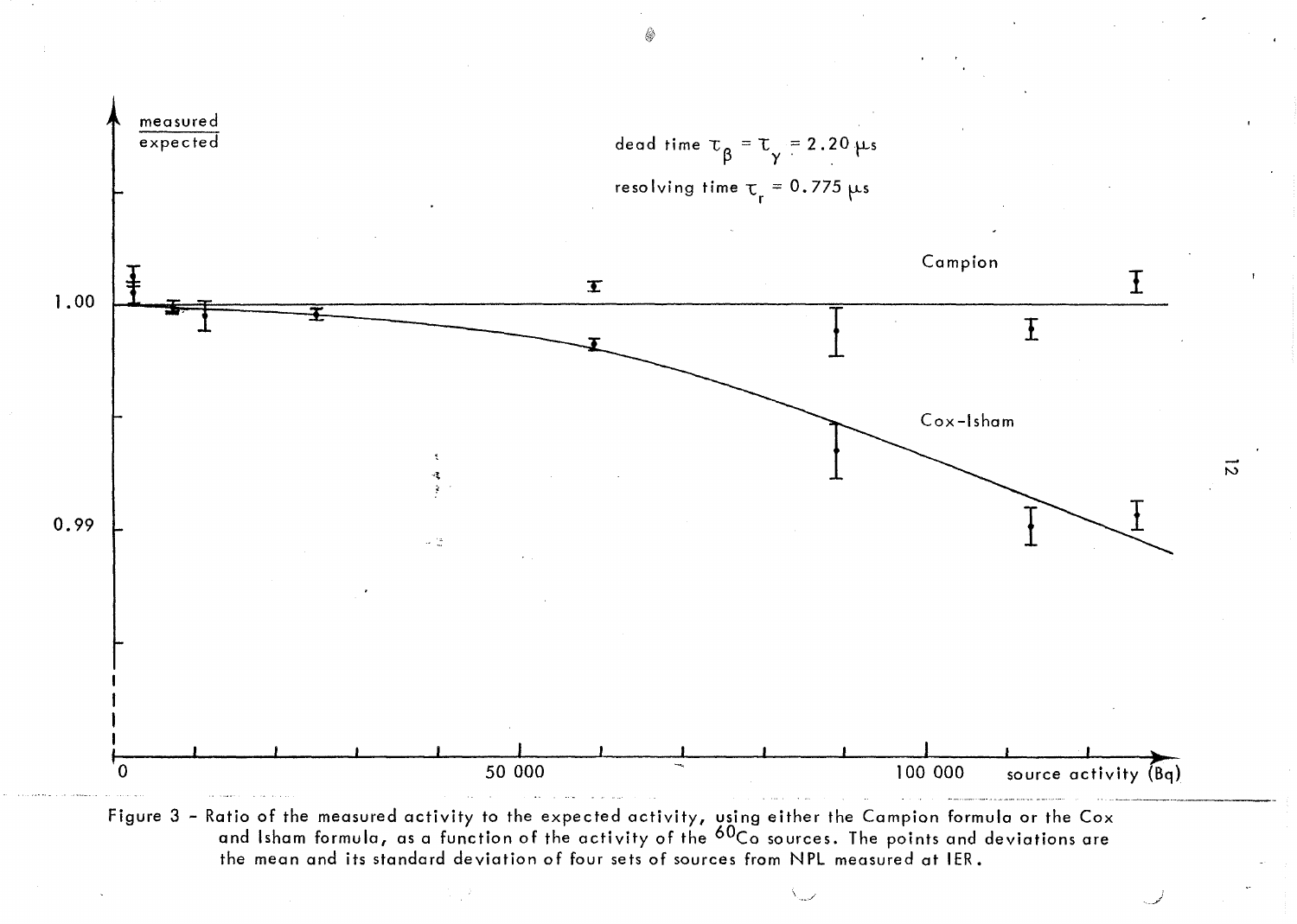

the mean and its standard deviation of four sets of sources from NPL measured at IER.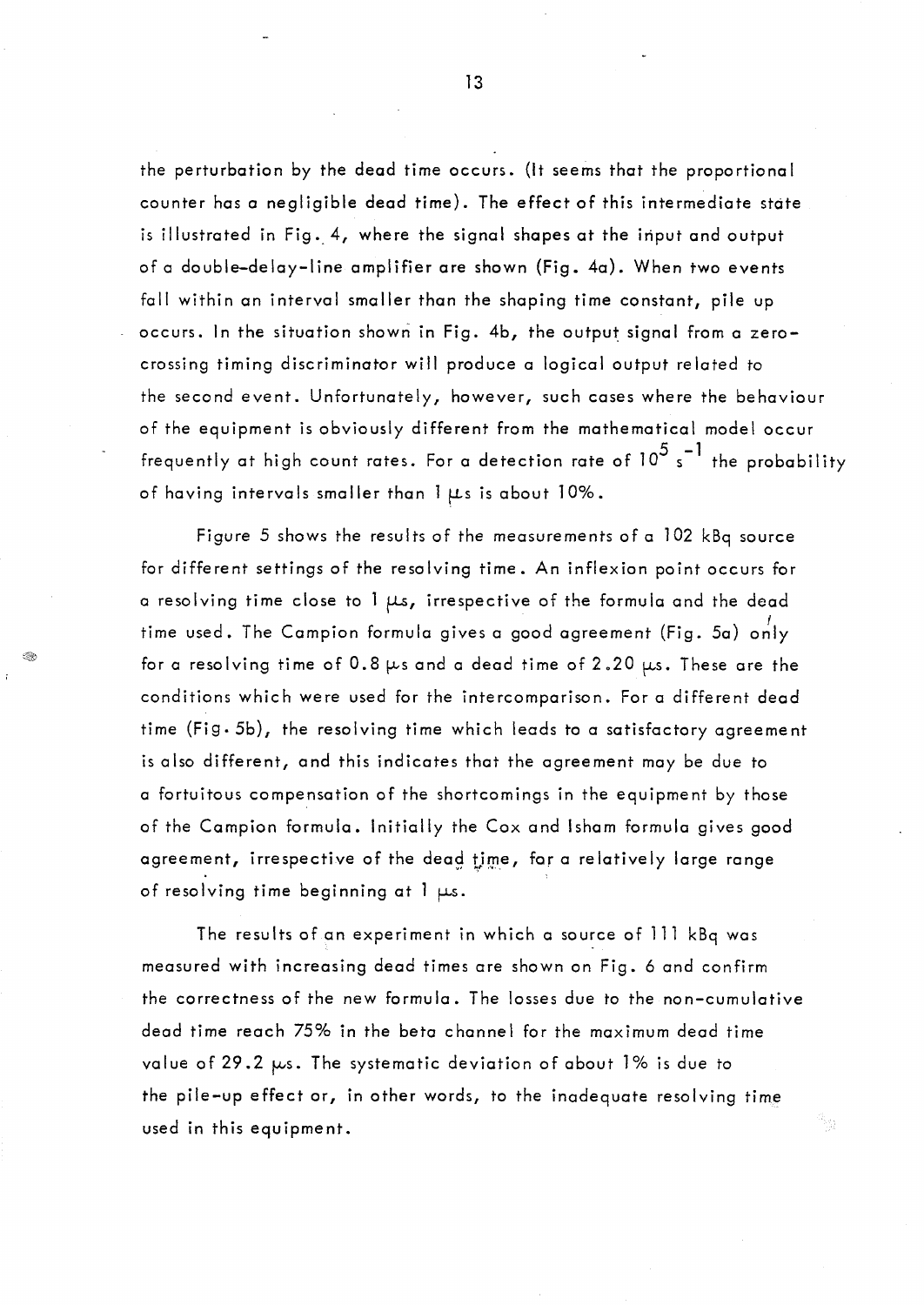the perturbation by the dead time occurs. (lt seems that the proportional counter has a negligible dead time). The effect of this intermediate state is illustrated in Fig. 4, where the signal shapes at the input and output of a double-delay-line amplifier ore shown (Fig. 40). When two events fall within an interval smaller than the shaping time constant, pile up occurs. In the situation shown in Fig. 4b, the output signal from a zerocrossing timing discriminator will produce a logical output related to the second event. Unfortunately, however, such cases where the behaviour of the equipment is obviously different From the mathematical model occur frequently at high count rates. For a detection rate of 10<sup>5</sup> s<sup>-1</sup> the probability of having intervals smaller than  $1 \mu s$  is about  $10\%$ .

Figure 5 shows the results of the measurements of a 102 kBq source for different settings of the resolving time. An inflexion point occurs for a resolving time close to 1  $\mu s$ , irrespective of the formula and the dead time used. The Campion formula gives a good agreement (Fig. 5a) only for a resolving time of 0.8  $\mu$ s and a dead time of 2.20  $\mu$ s. These are the conditions which were used for the intercomparison. For a different dead time (Fig. 5b), the resolving time which leads to a satisfactory agreement is also different, and this indicates that the agreement may be due to a fortuitous compensation of the shortcomings in the equipment by those of the Campion formula. Initially the Cox and Isham formula gives good agreement, irrespective of the dead time, for a relatively large range of resolving time beginning at  $l + Ls$ .

The results of an experiment in which a source of 111 kBq was measured with increasing dead times are shown on Fig. 6 and confirm the correctness of the new formula. The losses due to the non-cumulative dead time reach 75% in the beta channel for the maximum dead time value of 29.2  $\mu$ s. The systematic deviation of about 1% is due to the pile-up effect or, in other words, to the inadequate resolving time used in this equipment.

원소.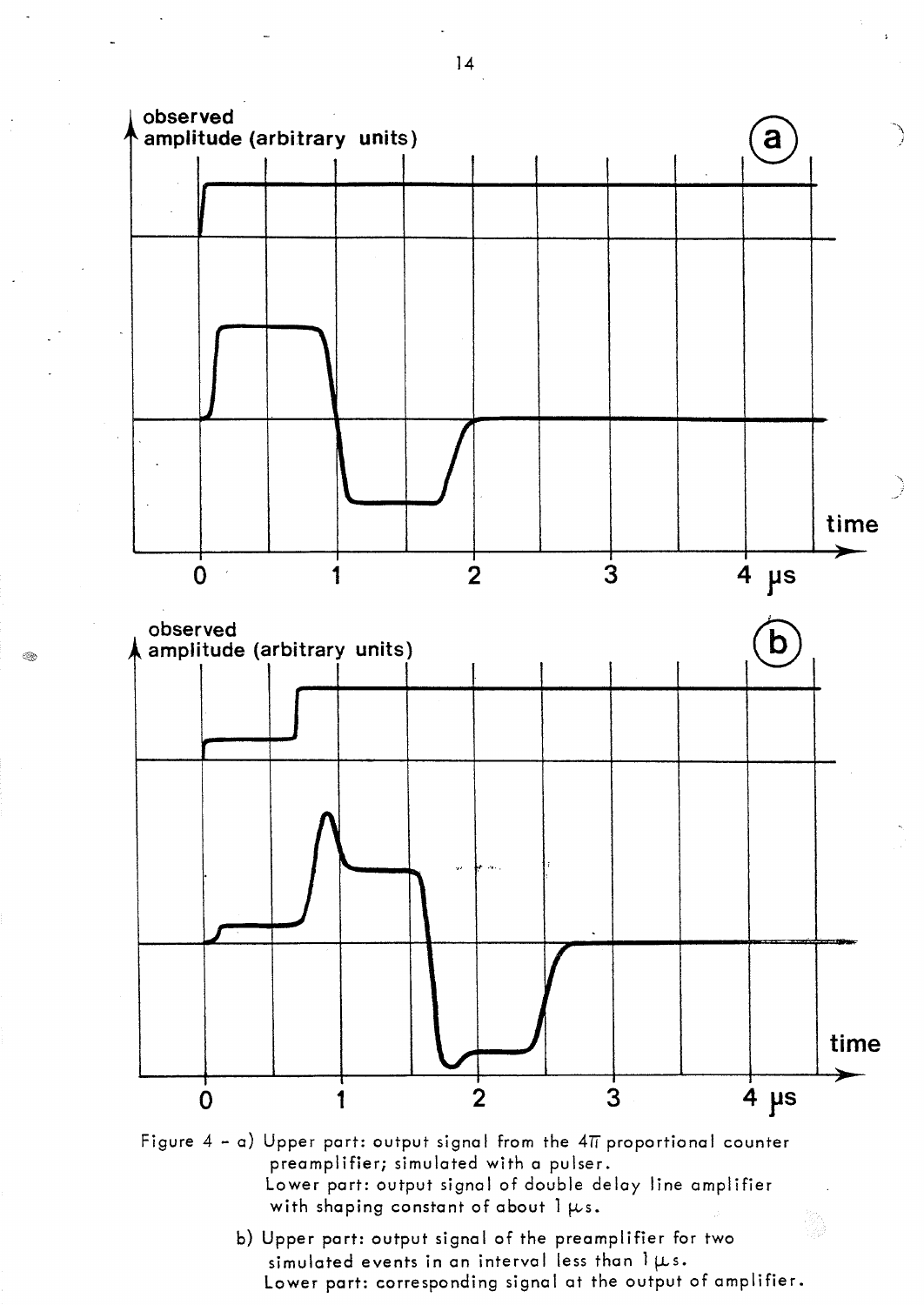

Figure  $4 - a$ ) Upper part: output signal from the  $4\pi$  proportional counter preamplifier; simulated with a pulser. Lower part: output signal of double delay line amplifier with shaping constant of about  $1 ~\mu s$ .

> b) Upper part: output signal of the preamplifier for two simulated events in an interval less than  $1 \mu s$ . Lower part: corresponding signal at the output of amplifier.

14

0.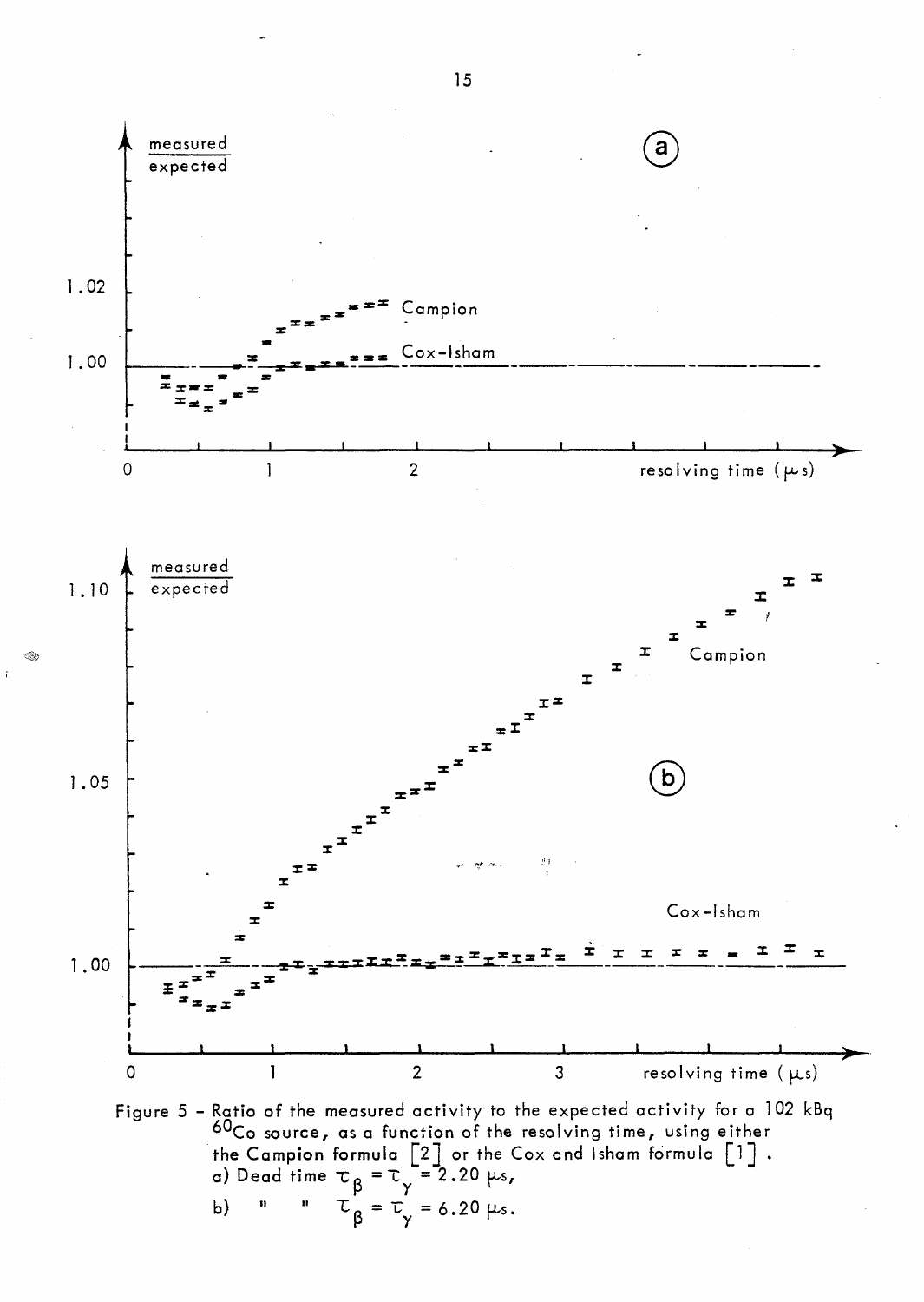

 $\mathbf{r}$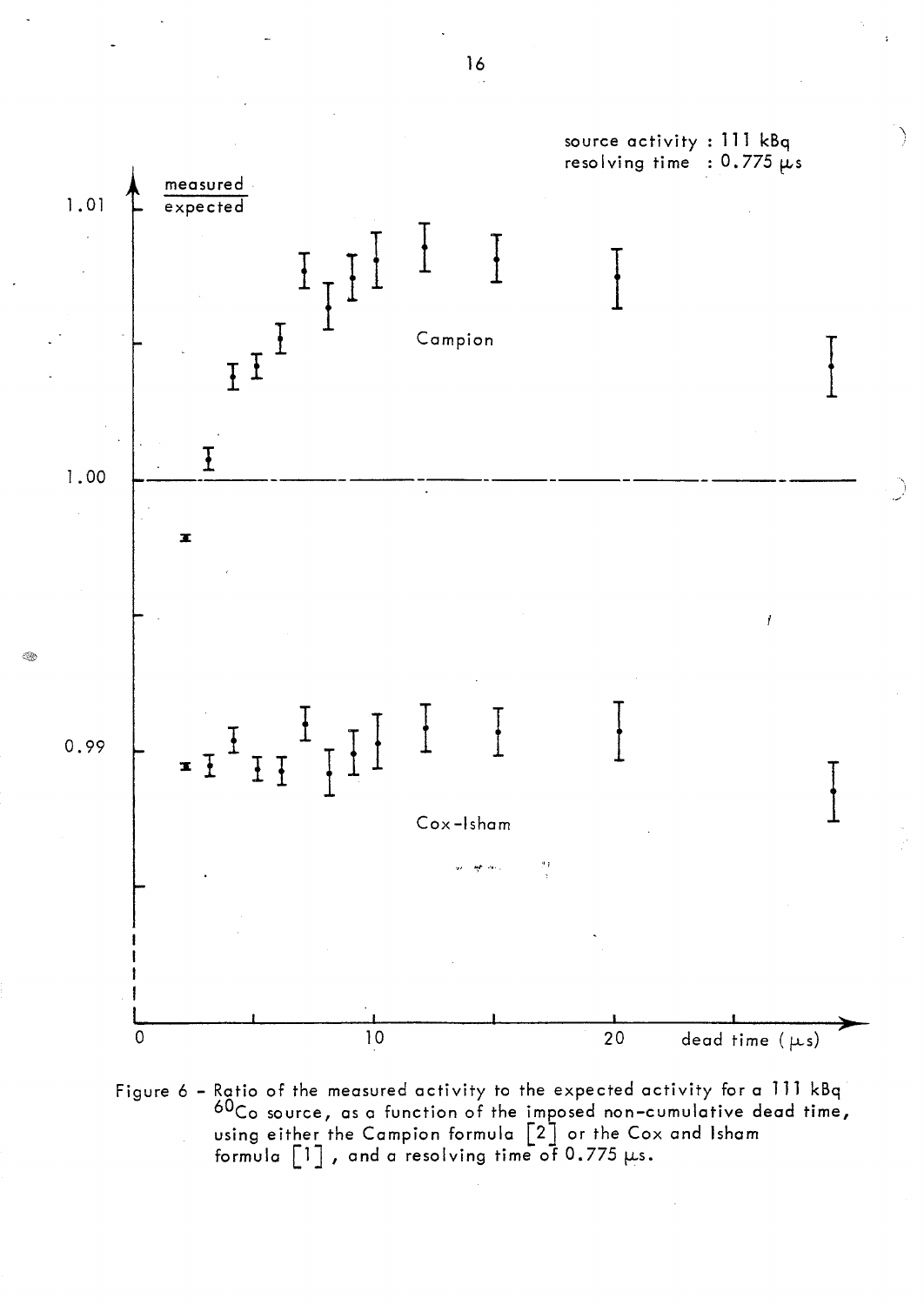

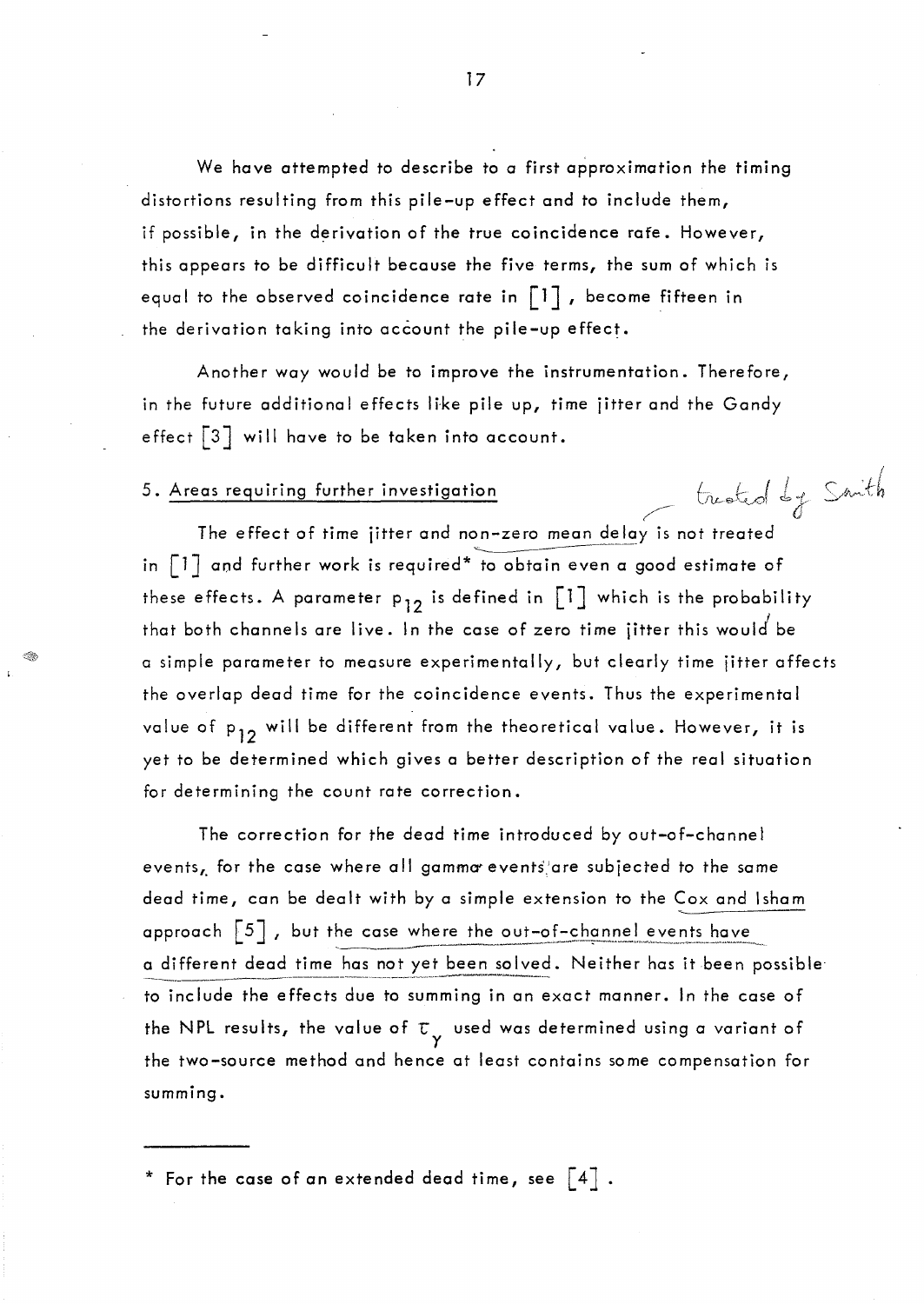We have attempted to describe to a first approximation the timing distortions resulting from this pile-up effect and to include them, if possible, in the derivation of the true coincidence rafe. However, this appears to be difficult because the five terms, the sum of which is equal to the observed coincidence rate in  $\lceil 1 \rceil$ , become fifteen in the derivation taking into account the pile-up effect.

Another way would be to improve the instrumentation. Therefore, in the future additional effects like pile up, time jitter and the Gandy effect  $\lceil 3 \rceil$  will have to be taken into account.

# 5. Areas requiring further investigation (*justical by* Smith

The effect of time jitter and non-zero mean delay is not treated in  $\lceil 1 \rceil$  and further work is required\* to obtain even a good estimate of these effects. A parameter  $p_{12}$  is defined in  $\begin{bmatrix} 1 \end{bmatrix}$  which is the probability that both channels are live. In the case of zero time jitter this would be a simple parameter to measure experimentally, but clearly time jitter affects the overlap dead time for the coincidence events. Thus the experimental value of p<sub>12</sub> will be different from the theoretical value. However, it is yet to be determined which gives a better description of the real situation for determining the count rate correction.

The correction for the dead time introduced by out-of-channel events, for the case where all gamma events'are subjected to the same dead time, con be dealt with by a simple extension to the Cox and Isham approach  $\begin{bmatrix} 5 \end{bmatrix}$ , but the case where the out-of-channel events have<br>a different dead time has not yet been solved. Neither has it been possible to include the effects due to summing in an exact manner. In the case of the NPL results, the value of  $\tau_{\gamma}^{-}$  used was determined using a variant of the two-source method and hence at least contains some compensation for summing.

\* For the case of an extended dead time, see  $\left[\begin{smallmatrix} 4 \end{smallmatrix}\right]$  .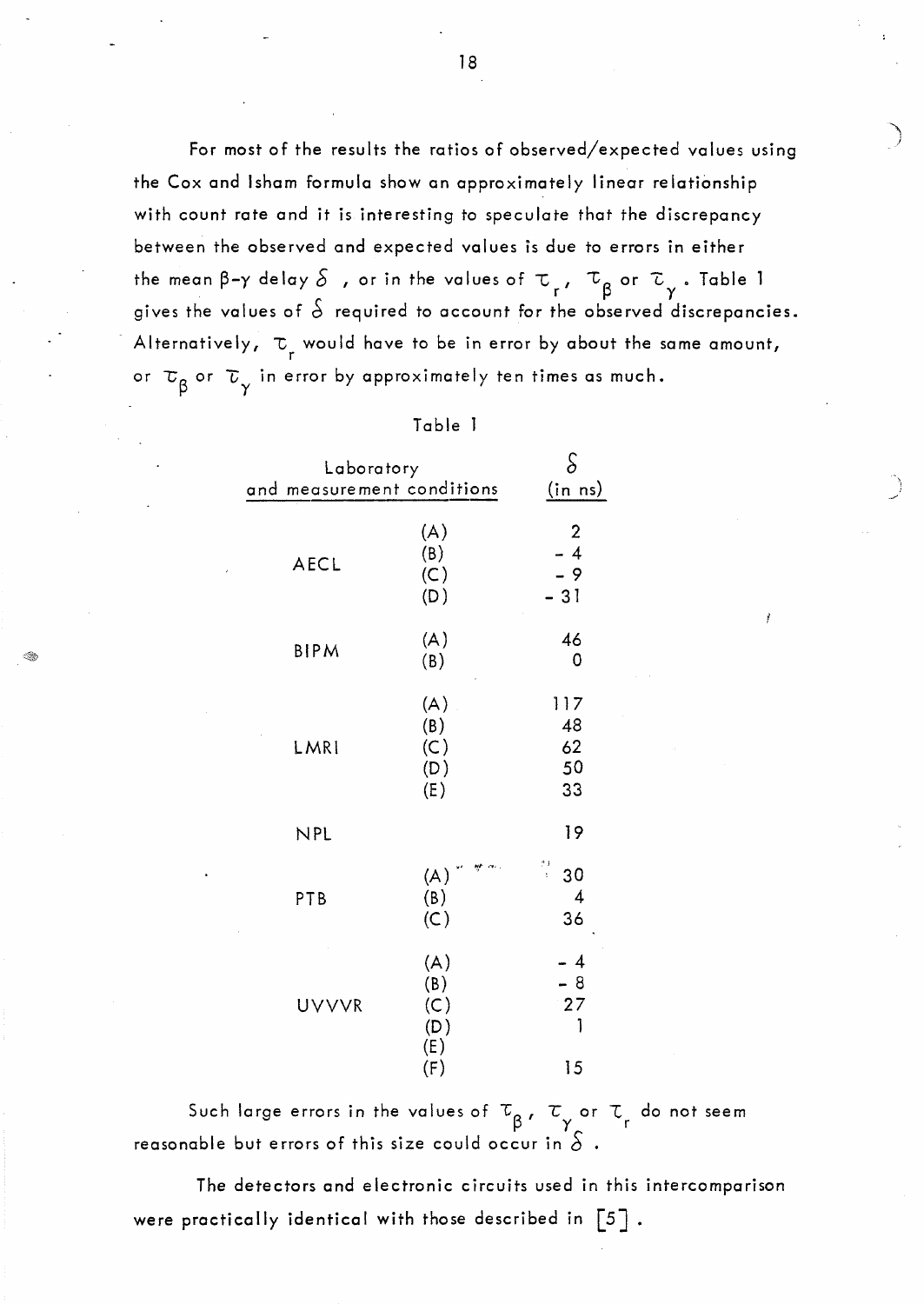For most of the results the ratios of observed/expected values using the Cox and Isham formula show an approximately linear relationship with count rate and it is interesting to speculate that the discrepancy between the observed and expected values is due to errors in either the mean  $\beta-\gamma$  delay  $\delta$  , or in the values of  $\tau$ ,  $\tau_{\beta}$  or  $\tau_{\gamma}$  . Table gives the values of  $\grave{\phi}$  required to account for the observed discrepancies. Alternatively,  $\tau_{_{\rm r}}$  would have to be in error by about the same amount, or  $\tau_{\beta}$  or  $\tau_{\gamma}$  in error by approximately ten times as much.

|             | Laboratory<br>and measurement conditions |                                         |
|-------------|------------------------------------------|-----------------------------------------|
| <b>AECL</b> | (A)<br>(B)<br>(C)<br>(D)                 | $\overline{c}$<br>$-4$<br>$-9$<br>$-31$ |
| <b>BIPM</b> | (A)<br>(B)                               | 46<br>0                                 |
| LMRI        | (A)<br>(B)<br>(C)<br>(D)<br>(E)          | 117<br>48<br>62<br>50<br>33             |
| <b>NPL</b>  |                                          | 19                                      |
| PTB         | (A)<br>(B)<br>(C)                        | $\frac{1}{2}$<br>30<br>4<br>36          |
| UVVVR       | (A)<br>(B)<br>(C)<br>(D)<br>(E)<br>(F)   | - 4<br>$-8$<br>27<br>1<br>15            |

Such large errors in the values of  $\tau_{\alpha}$ ,  $\tau_{\alpha}$  or  $\tau_{\alpha}$  do not seem reasonable but errors of this size could occur in  $\hat{\delta}$ 

The detectors and electronic circuits used in this intercomparison were practically identical with those described in  $\lceil 5 \rceil$ .

18

 $\overline{\phantom{a}}$ )

. ..-'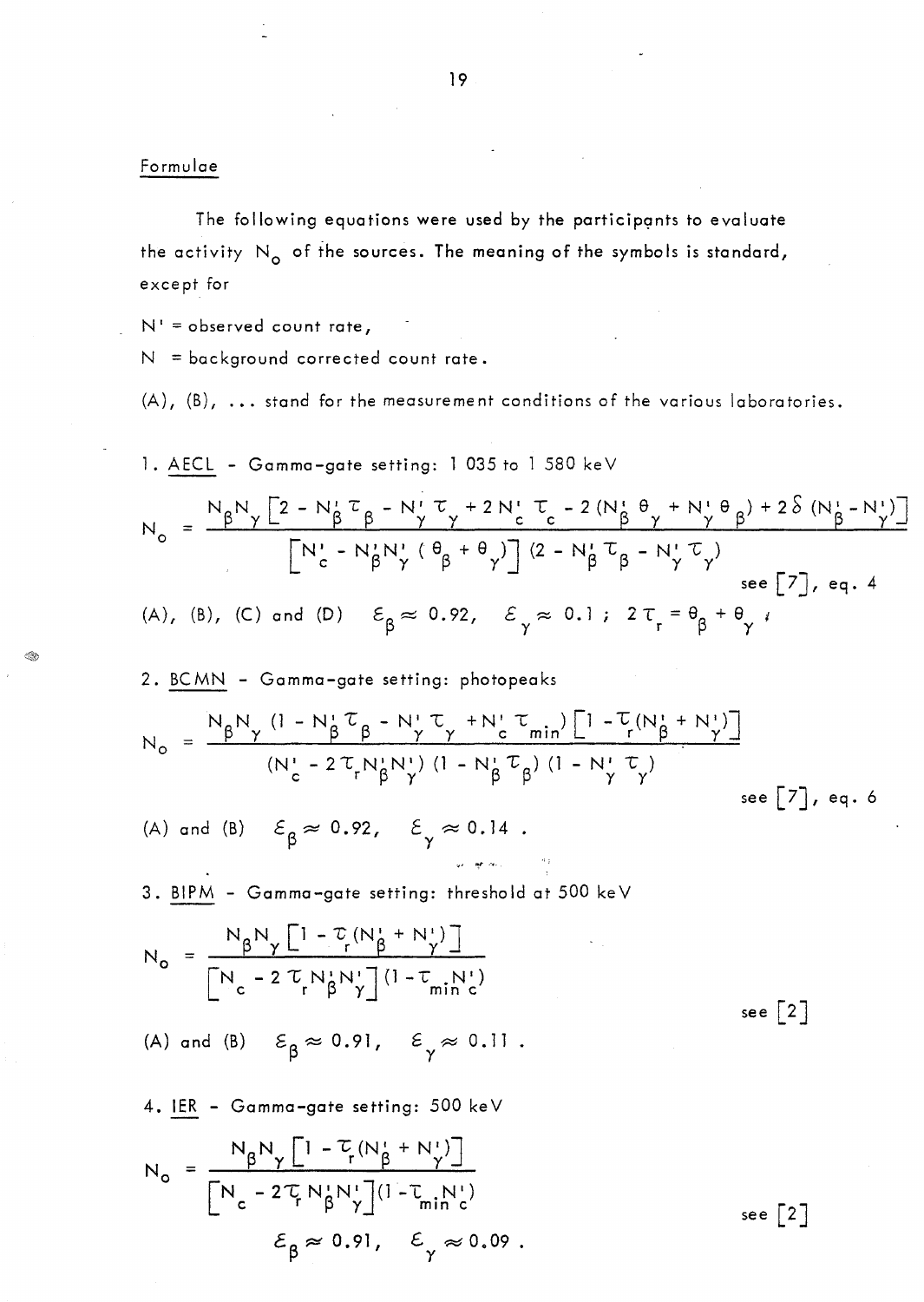#### Formulae

The following equations were used by the participants to evaluate the activity  $N_o$  of the sources. The meaning of the symbols is standard, except for

 $N' = observed count rate,$ 

 $N =$  background corrected count rate.

(A), (B), ... stand for the measurement conditions of the various laboratories.

1. AECL - Gamma-gate setting: 1 035 to 1 580 keV  
\n
$$
N_o = \frac{N_{\beta}N_{\gamma} [2 - N_{\beta}^{i} \tau_{\beta} - N_{\gamma}^{i} \tau_{\gamma} + 2N_{c}^{i} \tau_{c} - 2(N_{\beta}^{i} \theta_{\gamma} + N_{\gamma}^{i} \theta_{\beta}) + 2\delta (N_{\beta}^{i} - N_{\gamma}^{i})]}{[N_{c}^{i} - N_{\beta}^{i} N_{\gamma}^{i} (\theta_{\beta} + \theta_{\gamma})] (2 - N_{\beta}^{i} \tau_{\beta} - N_{\gamma}^{i} \tau_{\gamma})$ see [7], eq. 4\n(A), (B), (C) and (D)  $\epsilon_{\beta} \approx 0.92$ ,  $\epsilon_{\gamma} \approx 0.1$ ;  $2\tau_{r} = \theta_{\beta} + \theta_{\gamma}$
$$

$$
N_{o} = \frac{N_{\beta}N_{\gamma} (1 - N_{\beta}^{*}\tau_{\beta} - N_{\gamma}^{*}\tau_{\gamma} + N_{c}^{*}\tau_{min}) [1 - \tau_{r}(N_{\beta}^{*} + N_{\gamma}^{*})]}{(N_{c}^{*} - 2\tau_{r}N_{\beta}^{*}N_{\gamma}^{*}) (1 - N_{\beta}^{*}\tau_{\beta}) (1 - N_{\gamma}^{*}\tau_{\gamma})}
$$
 see [7], eq. 6

(A) and (B) 
$$
\varepsilon_{\beta} \approx 0.92
$$
,  $\varepsilon_{\gamma} \approx 0.14$ .

3. BIPM - Gamma-gate setting: threshold at 500 keV

$$
N_o = \frac{N_{\beta}N_{\gamma}\left[1-\mathcal{I}_{r}(N_{\beta}^{+}+N_{\gamma}^{+})\right]}{\left[N_{c}-2\mathcal{I}_{r}N_{\beta}^{+}N_{\gamma}^{+}\right](1-\mathcal{I}_{min}^{+}N_{c}^{+})}
$$
 see [2]

(A) and (B)  $\varepsilon_{\beta} \approx 0.91$ ,  $\varepsilon_{\gamma} \approx 0.11$ .

4. IER - Gamma-gate setting: 500 keV

$$
N_0 = \frac{N_{\beta}N_{\gamma}\left[1-\frac{\tau}{r}(N_{\beta}^{\prime}+N_{\gamma}^{\prime})\right]}{\left[N_c-2\tau_{\beta}N_{\beta}^{\prime}N_{\gamma}^{\prime}\right](1-\tau_{\min}N_{\nu}^{\prime})}
$$
  

$$
\epsilon_{\beta} \approx 0.91, \quad \epsilon_{\gamma} \approx 0.09.
$$

GR.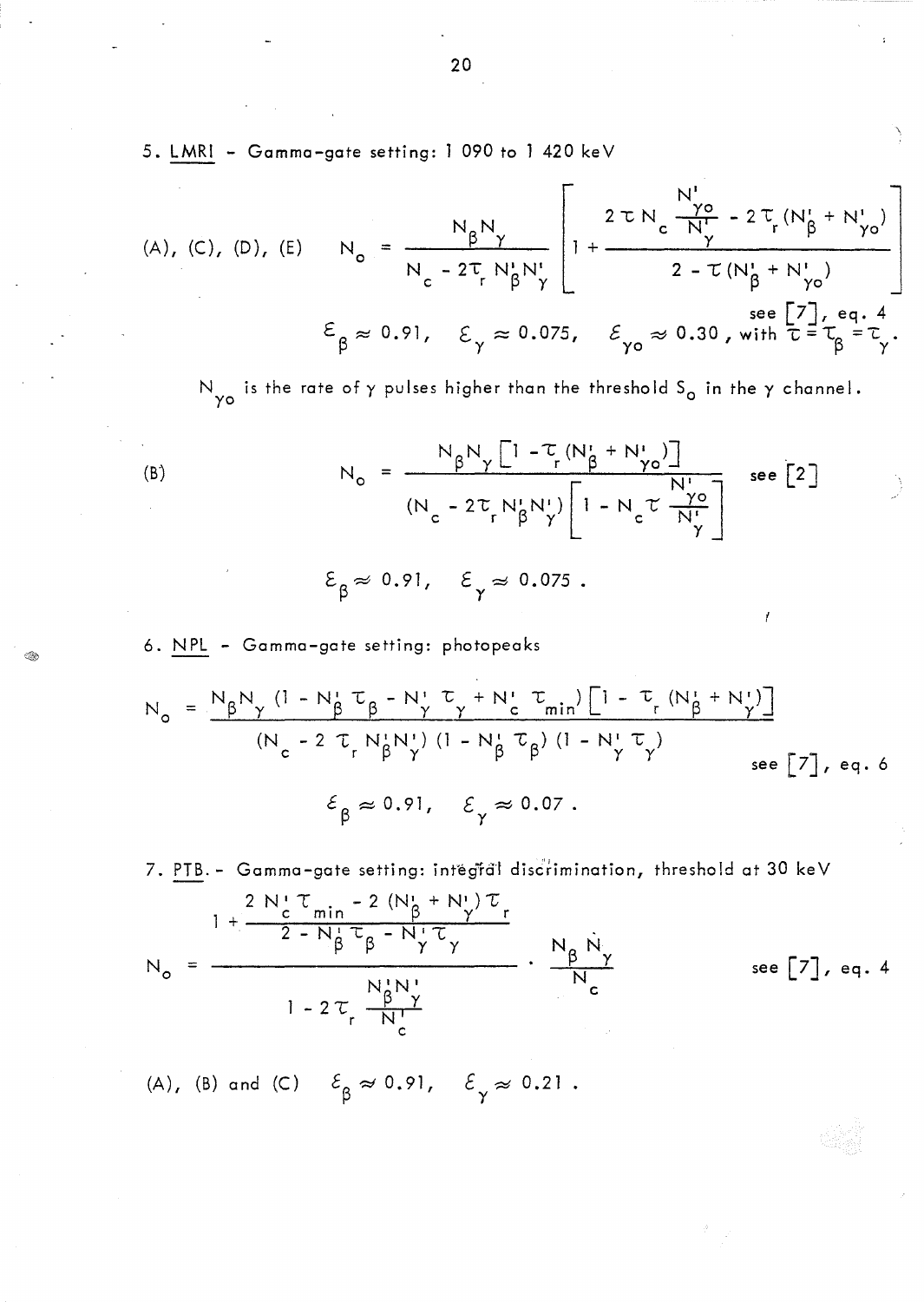5. LMRI - Gamma-gate setting: 1 090 to 1 420 keV

(A), (C), (D), (E) 
$$
N_o = \frac{N_{\beta}N_{\gamma}}{N_c - 2T_r N_{\beta}^t N_{\gamma}^t} \left[1 + \frac{2 \tau N_c \frac{N_o}{N} - 2T_r (N_{\beta}^t + N_{\gamma o}^t)}{2 - T (N_{\beta}^t + N_{\gamma o}^t)}\right]
$$
  
\n $\varepsilon_{\beta} \approx 0.91, \quad \varepsilon_{\gamma} \approx 0.075, \quad \varepsilon_{\gamma o} \approx 0.30$ , with  $\tau = \tau_{\beta} = \tau_{\gamma}$ .

N<sub>yo</sub> is the rate of  $\gamma$  pulses higher than the threshold S<sub>o</sub> in the  $\gamma$  channel.

(B)  
\n
$$
N_{o} = \frac{N_{\beta}N_{\gamma}[1-\tau_{r}(N_{\beta}^{t}+N_{\gamma o}^{t})]}{(N_{c}-2\tau_{r}N_{\beta}^{t}N_{\gamma}^{t})[1-N_{c}\tau\frac{N_{r}^{t}}{N_{\gamma}^{t}}] \text{ see } [2]
$$
\n
$$
\epsilon_{\beta} \approx 0.91, \quad \epsilon_{\gamma} \approx 0.075.
$$

6. NPL - Gamma-gate setting: photopeaks

$$
N_{o} = \frac{N_{\beta}N_{\gamma} (1 - N_{\beta}^{T} \tau_{\beta} - N_{\gamma}^{T} \tau_{\gamma} + N_{c}^{T} \tau_{min}) [1 - \tau_{r} (N_{\beta}^{T} + N_{\gamma}^{T})]}{(N_{c} - 2 \tau_{r} N_{\beta}^{T} N_{\gamma}^{T}) (1 - N_{\beta}^{T} \tau_{\beta}) (1 - N_{\gamma}^{T} \tau_{\gamma})}_{see [7], eq. 6}
$$
  

$$
\epsilon_{\beta} \approx 0.91, \quad \epsilon_{\gamma} \approx 0.07.
$$

7. PTB. - Gamma-gate setting: intégral discrimination, threshold at 30 keV  $1 + \frac{2 N_c^{\dagger} \tau_{min} - 2 (N_{\beta}^{\dagger} + N_{\gamma}^{\dagger}) \tau_r}{2 - N_{\beta}^{\dagger} \tau_{\beta} - N_{\gamma}^{\dagger} \tau_{\gamma}}$  $\frac{N_{\beta} N_{\gamma}}{N_{\gamma}}$ see  $\begin{bmatrix} 7 \end{bmatrix}$ , eq. 4  $N_{\circ}$  $1 - 2 \tau_r \frac{N_f^1 N_f^1}{N_c^1}$ 

(A), (B) and (C) 
$$
\mathcal{E}_{\beta} \approx 0.91
$$
,  $\mathcal{E}_{\gamma} \approx 0.21$ .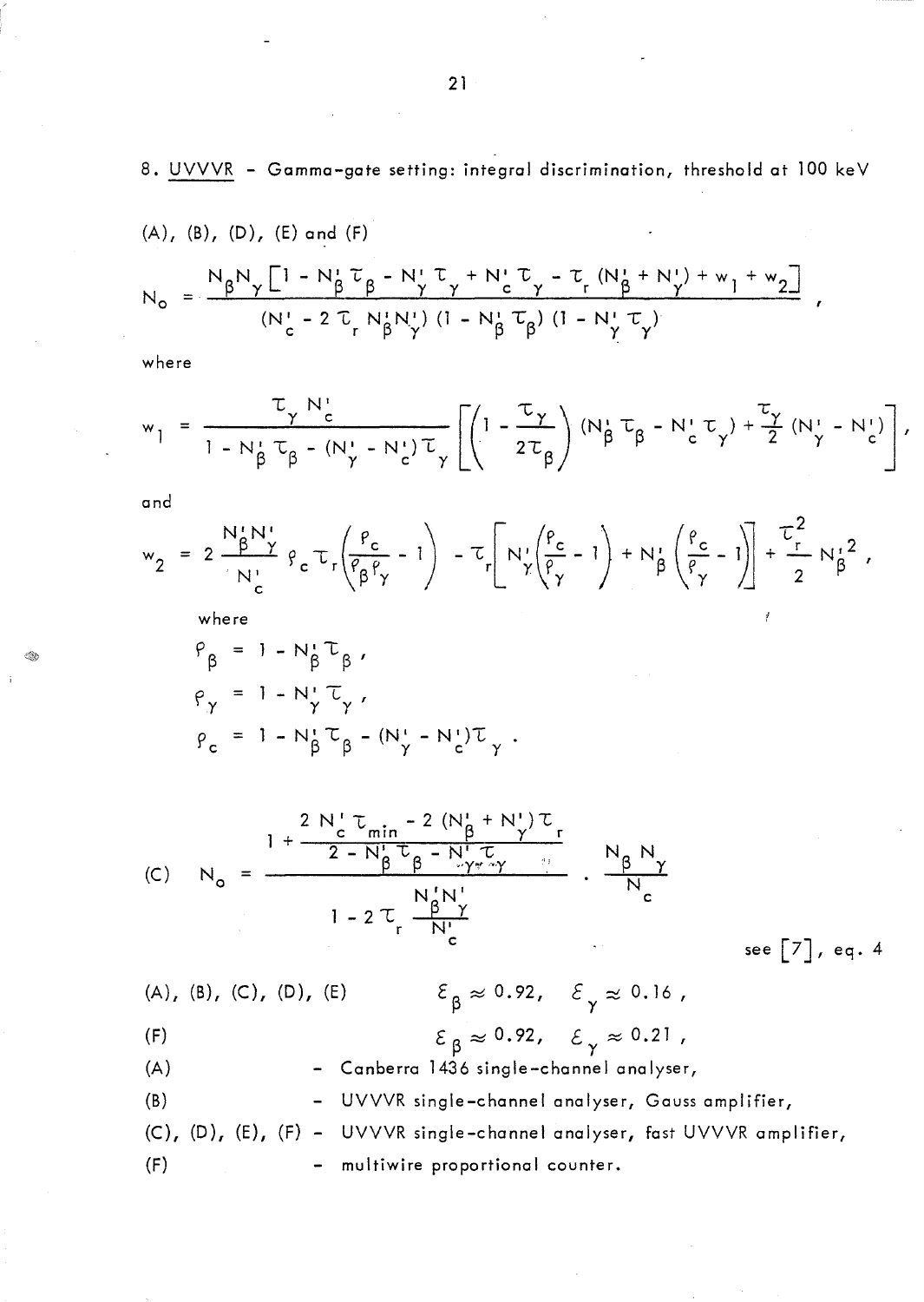8. UVVVR - Gamma-gate setting: integral discrimination, threshold at 100 keV

(A), (B), (D), (E) and (F)  
\n
$$
N_{o} = \frac{N_{\beta}N_{\gamma}[1 - N_{\beta}^{T}\tau_{\beta} - N_{\gamma}^{T}\tau_{\gamma} + N_{c}^{T}\tau_{\gamma} - \tau_{r}(N_{\beta}^{T} + N_{\gamma}^{T}) + w_{1} + w_{2}]}{(N_{c}^{T} - 2 \tau_{r} N_{\beta}^{T}N_{\gamma}^{T})(1 - N_{\beta}^{T}\tau_{\beta}) (1 - N_{\gamma}^{T}\tau_{\gamma})},
$$

where

$$
w_1 = \frac{\tau_{\gamma} N_c'}{1 - N_{\beta}^2 \tau_{\beta} - (N_{\gamma}^{\prime} - N_c^{\prime}) \tau_{\gamma}} \left[ \left( 1 - \frac{\tau_{\gamma}}{2 \tau_{\beta}} \right) (N_{\beta}^{\prime} \tau_{\beta} - N_c^{\prime} \tau_{\gamma}) + \frac{\tau_{\gamma}}{2} (N_{\gamma}^{\prime} - N_c^{\prime}) \right],
$$

and

Ó.

$$
w_2 = 2 \frac{N_{\beta}^{\dagger} N_{\gamma}^{\dagger}}{N_{c}^{\dagger}} \varrho_{c} \tau_{r} \left(\frac{\varrho_{c}}{\varrho_{\beta} \varrho_{\gamma}} - 1\right) - \tau_{r} \left[N_{\gamma}^{\dagger} \left(\frac{\varrho_{c}}{\varrho_{\gamma}} - 1\right) + N_{\beta}^{\dagger} \left(\frac{\varrho_{c}}{\varrho_{\gamma}} - 1\right)\right] + \frac{\tau^{2}}{2} N_{\beta}^{\dagger 2},
$$

where

$$
\rho_{\beta} = 1 - N_{\beta}^{*} \tau_{\beta},
$$
  
\n
$$
\rho_{\gamma} = 1 - N_{\gamma}^{*} \tau_{\gamma},
$$
  
\n
$$
\rho_{c} = 1 - N_{\beta}^{*} \tau_{\beta} - (N_{\gamma}^{*} - N_{c}^{*}) \tau_{\gamma}.
$$

(C) 
$$
N_{o} = \frac{1 + \frac{2 N_{c}^{T} \tau_{min} - 2 (N_{\beta}^{T} + N_{\gamma}^{T}) \tau_{r}}{2 - N_{\beta}^{T} \tau_{\beta} - N_{\gamma}^{T} \tau_{\gamma}}}{1 - 2 \tau_{r} \frac{N_{\beta}^{T} N_{\gamma}^{T}}{N_{c}^{T}}} \cdot \frac{N_{\beta} N_{\gamma}}{N_{c}}
$$

see [7J, eq. 4

 $(A), (B), (C), (D), (E)$ (F)  $\mathcal{E}_{\beta} \approx 0.92, \quad \mathcal{E}_{\gamma} \approx 0.16$ ,  $\mathcal{E}_{\beta} \approx 0.92, \quad \mathcal{E}_{\gamma} \approx 0.21$ , (A) (B) - Canberra 1436 single-channel analyser, - UVVVR single-channel analyser, Gauss amplifier, (C), (D), (E), (F) - UVVVR single-channel analyser, fast UVVVR amplifier, (F) - multiwire proportional counter.